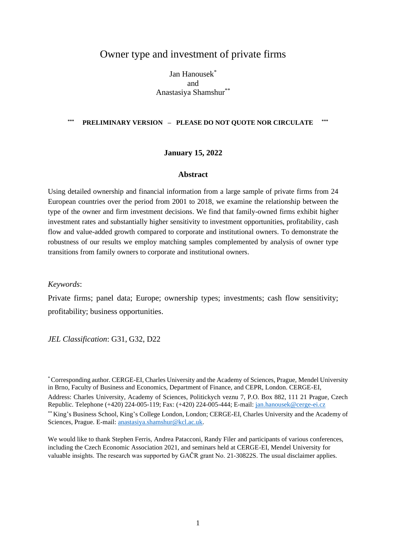## Owner type and investment of private firms

Jan Hanousek\* and Anastasiya Shamshur\*\*

#### **\*\*\* PRELIMINARY VERSION – PLEASE DO NOT QUOTE NOR CIRCULATE \*\*\***

#### **January 15, 2022**

#### **Abstract**

Using detailed ownership and financial information from a large sample of private firms from 24 European countries over the period from 2001 to 2018, we examine the relationship between the type of the owner and firm investment decisions. We find that family-owned firms exhibit higher investment rates and substantially higher sensitivity to investment opportunities, profitability, cash flow and value-added growth compared to corporate and institutional owners. To demonstrate the robustness of our results we employ matching samples complemented by analysis of owner type transitions from family owners to corporate and institutional owners.

#### *Keywords*:

Private firms; panel data; Europe; ownership types; investments; cash flow sensitivity; profitability; business opportunities.

*JEL Classification*: G31, G32, D22

\*Corresponding author. CERGE-EI, Charles University and the Academy of Sciences, Prague, Mendel University in Brno, Faculty of Business and Economics, Department of Finance, and CEPR, London. CERGE-EI,

Address: Charles University, Academy of Sciences, Politickych veznu 7, P.O. Box 882, 111 21 Prague, Czech Republic. Telephone (+420) 224-005-119; Fax: (+420) 224-005-444; E-mail: [jan.hanousek@cerge-ei.cz](mailto:jan.hanousek@cerge-ei.cz)

\*\* King's Business School, King's College London, London; CERGE-EI, Charles University and the Academy of Sciences, Prague. E-mail: [anastasiya.shamshur@kcl.ac.uk.](mailto:anastasiya.shamshur@kcl.ac.uk)

We would like to thank Stephen Ferris, Andrea Patacconi, Randy Filer and participants of various conferences, including the Czech Economic Association 2021, and seminars held at CERGE-EI, Mendel University for valuable insights. The research was supported by GAČR grant No. 21-30822S. The usual disclaimer applies.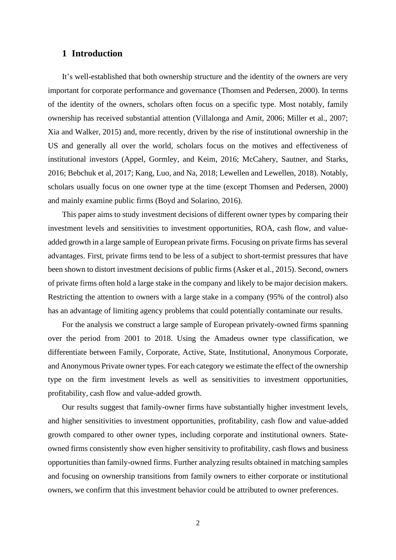#### **1 Introduction**

It's well-established that both ownership structure and the identity of the owners are very important for corporate performance and governance (Thomsen and Pedersen, 2000). In terms of the identity of the owners, scholars often focus on a specific type. Most notably, family ownership has received substantial attention (Villalonga and Amit, 2006; Miller et al., 2007; Xia and Walker, 2015) and, more recently, driven by the rise of institutional ownership in the US and generally all over the world, scholars focus on the motives and effectiveness of institutional investors (Appel, Gormley, and Keim, 2016; McCahery, Sautner, and Starks, 2016; Bebchuk et al, 2017; Kang, Luo, and Na, 2018; Lewellen and Lewellen, 2018). Notably, scholars usually focus on one owner type at the time (except Thomsen and Pedersen, 2000) and mainly examine public firms (Boyd and Solarino, 2016).

This paper aims to study investment decisions of different owner types by comparing their investment levels and sensitivities to investment opportunities, ROA, cash flow, and valueadded growth in a large sample of European private firms. Focusing on private firms has several advantages. First, private firms tend to be less of a subject to short-termist pressures that have been shown to distort investment decisions of public firms (Asker et al., 2015). Second, owners of private firms often hold a large stake in the company and likely to be major decision makers. Restricting the attention to owners with a large stake in a company (95% of the control) also has an advantage of limiting agency problems that could potentially contaminate our results.

For the analysis we construct a large sample of European privately-owned firms spanning over the period from 2001 to 2018. Using the Amadeus owner type classification, we differentiate between Family, Corporate, Active, State, Institutional, Anonymous Corporate, and Anonymous Private owner types. For each category we estimate the effect of the ownership type on the firm investment levels as well as sensitivities to investment opportunities, profitability, cash flow and value-added growth.

Our results suggest that family-owner firms have substantially higher investment levels, and higher sensitivities to investment opportunities, profitability, cash flow and value-added growth compared to other owner types, including corporate and institutional owners. Stateowned firms consistently show even higher sensitivity to profitability, cash flows and business opportunities than family-owned firms. Further analyzing results obtained in matching samples and focusing on ownership transitions from family owners to either corporate or institutional owners, we confirm that this investment behavior could be attributed to owner preferences.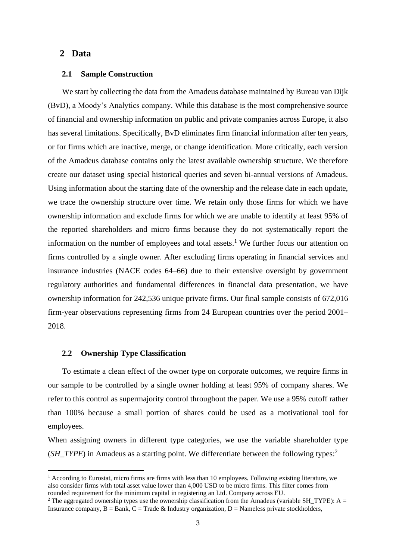### **2 Data**

#### **2.1 Sample Construction**

We start by collecting the data from the Amadeus database maintained by Bureau van Dijk (BvD), a Moody's Analytics company. While this database is the most comprehensive source of financial and ownership information on public and private companies across Europe, it also has several limitations. Specifically, BvD eliminates firm financial information after ten years, or for firms which are inactive, merge, or change identification. More critically, each version of the Amadeus database contains only the latest available ownership structure. We therefore create our dataset using special historical queries and seven bi-annual versions of Amadeus. Using information about the starting date of the ownership and the release date in each update, we trace the ownership structure over time. We retain only those firms for which we have ownership information and exclude firms for which we are unable to identify at least 95% of the reported shareholders and micro firms because they do not systematically report the information on the number of employees and total assets.<sup>1</sup> We further focus our attention on firms controlled by a single owner. After excluding firms operating in financial services and insurance industries (NACE codes 64–66) due to their extensive oversight by government regulatory authorities and fundamental differences in financial data presentation, we have ownership information for 242,536 unique private firms. Our final sample consists of 672,016 firm-year observations representing firms from 24 European countries over the period 2001– 2018.

#### **2.2 Ownership Type Classification**

To estimate a clean effect of the owner type on corporate outcomes, we require firms in our sample to be controlled by a single owner holding at least 95% of company shares. We refer to this control as supermajority control throughout the paper. We use a 95% cutoff rather than 100% because a small portion of shares could be used as a motivational tool for employees.

When assigning owners in different type categories, we use the variable shareholder type (*SH\_TYPE*) in Amadeus as a starting point. We differentiate between the following types:<sup>2</sup>

<sup>&</sup>lt;sup>1</sup> According to Eurostat, micro firms are firms with less than 10 employees. Following existing literature, we also consider firms with total asset value lower than 4,000 USD to be micro firms. This filter comes from rounded requirement for the minimum capital in registering an Ltd. Company across EU.

<sup>&</sup>lt;sup>2</sup> The aggregated ownership types use the ownership classification from the Amadeus (variable SH\_TYPE): A = Insurance company,  $B = Bank$ ,  $C = Trade & Industry organization, D = Nameless private stockholders,$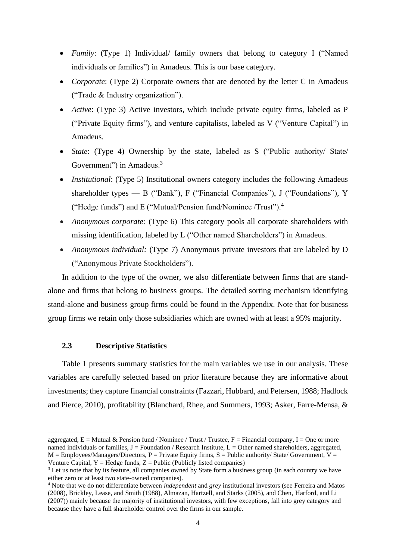- *Family*: (Type 1) Individual/ family owners that belong to category I ("Named individuals or families") in Amadeus. This is our base category.
- *Corporate*: (Type 2) Corporate owners that are denoted by the letter C in Amadeus ("Trade & Industry organization").
- *Active*: (Type 3) Active investors, which include private equity firms, labeled as P ("Private Equity firms"), and venture capitalists, labeled as V ("Venture Capital") in Amadeus.
- *State*: (Type 4) Ownership by the state, labeled as S ("Public authority/ State/ Government") in Amadeus.<sup>3</sup>
- *Institutional:* (Type 5) Institutional owners category includes the following Amadeus shareholder types — B ("Bank"), F ("Financial Companies"), J ("Foundations"), Y ("Hedge funds") and E ("Mutual/Pension fund/Nominee /Trust"). 4
- *Anonymous corporate:* (Type 6) This category pools all corporate shareholders with missing identification, labeled by L ("Other named Shareholders") in Amadeus.
- *Anonymous individual:* (Type 7) Anonymous private investors that are labeled by D ("Anonymous Private Stockholders").

In addition to the type of the owner, we also differentiate between firms that are standalone and firms that belong to business groups. The detailed sorting mechanism identifying stand-alone and business group firms could be found in the Appendix. Note that for business group firms we retain only those subsidiaries which are owned with at least a 95% majority.

### **2.3 Descriptive Statistics**

Table 1 presents summary statistics for the main variables we use in our analysis. These variables are carefully selected based on prior literature because they are informative about investments; they capture financial constraints (Fazzari, Hubbard, and Petersen, 1988; Hadlock and Pierce, 2010), profitability (Blanchard, Rhee, and Summers, 1993; Asker, Farre-Mensa, &

aggregated,  $E = M$ utual & Pension fund / Nominee / Trust / Trustee,  $F = F$ inancial company, I = One or more named individuals or families,  $J =$  Foundation / Research Institute,  $L =$  Other named shareholders, aggregated,  $M =$  Employees/Managers/Directors, P = Private Equity firms, S = Public authority/ State/ Government,  $V =$ Venture Capital,  $Y = H$ edge funds,  $Z = P$ ublic (Publicly listed companies)

<sup>&</sup>lt;sup>3</sup> Let us note that by its feature, all companies owned by State form a business group (in each country we have either zero or at least two state-owned companies).

<sup>4</sup> Note that we do not differentiate between *independent* and *grey* institutional investors (see Ferreira and Matos (2008), Brickley, Lease, and Smith (1988), Almazan, Hartzell, and Starks (2005), and Chen, Harford, and Li (2007)) mainly because the majority of institutional investors, with few exceptions, fall into grey category and because they have a full shareholder control over the firms in our sample.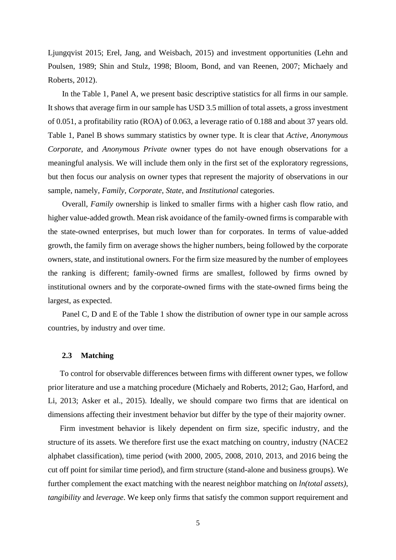Ljungqvist 2015; Erel, Jang, and Weisbach, 2015) and investment opportunities (Lehn and Poulsen, 1989; Shin and Stulz, 1998; Bloom, Bond, and van Reenen, 2007; Michaely and Roberts, 2012).

In the Table 1, Panel A, we present basic descriptive statistics for all firms in our sample. It shows that average firm in our sample has USD 3.5 million of total assets, a gross investment of 0.051, a profitability ratio (ROA) of 0.063, a leverage ratio of 0.188 and about 37 years old. Table 1, Panel B shows summary statistics by owner type. It is clear that *Active, Anonymous Corporate*, and *Anonymous Private* owner types do not have enough observations for a meaningful analysis. We will include them only in the first set of the exploratory regressions, but then focus our analysis on owner types that represent the majority of observations in our sample, namely, *Family*, *Corporate*, *State*, and *Institutional* categories.

Overall, *Family* ownership is linked to smaller firms with a higher cash flow ratio, and higher value-added growth. Mean risk avoidance of the family-owned firms is comparable with the state-owned enterprises, but much lower than for corporates. In terms of value-added growth, the family firm on average shows the higher numbers, being followed by the corporate owners, state, and institutional owners. For the firm size measured by the number of employees the ranking is different; family-owned firms are smallest, followed by firms owned by institutional owners and by the corporate-owned firms with the state-owned firms being the largest, as expected.

Panel C, D and E of the Table 1 show the distribution of owner type in our sample across countries, by industry and over time.

#### **2.3 Matching**

To control for observable differences between firms with different owner types, we follow prior literature and use a matching procedure (Michaely and Roberts, 2012; Gao, Harford, and Li, 2013; Asker et al., 2015). Ideally, we should compare two firms that are identical on dimensions affecting their investment behavior but differ by the type of their majority owner.

Firm investment behavior is likely dependent on firm size, specific industry, and the structure of its assets. We therefore first use the exact matching on country, industry (NACE2 alphabet classification), time period (with 2000, 2005, 2008, 2010, 2013, and 2016 being the cut off point for similar time period), and firm structure (stand-alone and business groups). We further complement the exact matching with the nearest neighbor matching on *ln(total assets)*, *tangibility* and *leverage*. We keep only firms that satisfy the common support requirement and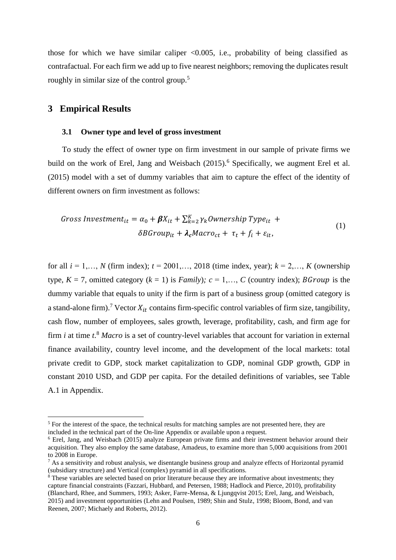those for which we have similar caliper  $\langle 0.005, i.e.,$  probability of being classified as contrafactual. For each firm we add up to five nearest neighbors; removing the duplicates result roughly in similar size of the control group.<sup>5</sup>

### **3 Empirical Results**

#### **3.1 Owner type and level of gross investment**

To study the effect of owner type on firm investment in our sample of private firms we build on the work of Erel, Jang and Weisbach (2015).<sup>6</sup> Specifically, we augment Erel et al. (2015) model with a set of dummy variables that aim to capture the effect of the identity of different owners on firm investment as follows:

$$
Gross Investment_{it} = \alpha_0 + \beta X_{it} + \sum_{k=2}^{K} \gamma_k \text{Ownership Type}_{it} +
$$
  
\n
$$
\delta BGroup_{it} + \lambda_c Macro_{ct} + \tau_t + f_i + \varepsilon_{it},
$$
\n(1)

for all  $i = 1,..., N$  (firm index);  $t = 2001,..., 2018$  (time index, year);  $k = 2,..., K$  (ownership type,  $K = 7$ , omitted category  $(k = 1)$  is *Family*);  $c = 1,..., C$  (country index); *BGroup* is the dummy variable that equals to unity if the firm is part of a business group (omitted category is a stand-alone firm).<sup>7</sup> Vector  $X_{it}$  contains firm-specific control variables of firm size, tangibility, cash flow, number of employees, sales growth, leverage, profitability, cash, and firm age for firm *i* at time *t*. <sup>8</sup> *Macro* is a set of country-level variables that account for variation in external finance availability, country level income, and the development of the local markets: total private credit to GDP, stock market capitalization to GDP, nominal GDP growth, GDP in constant 2010 USD, and GDP per capita. For the detailed definitions of variables, see Table A.1 in Appendix.

<sup>&</sup>lt;sup>5</sup> For the interest of the space, the technical results for matching samples are not presented here, they are included in the technical part of the On-line Appendix or available upon a request.

<sup>6</sup> Erel, Jang, and Weisbach (2015) analyze European private firms and their investment behavior around their acquisition. They also employ the same database, Amadeus, to examine more than 5,000 acquisitions from 2001 to 2008 in Europe.

 $<sup>7</sup>$  As a sensitivity and robust analysis, we disentangle business group and analyze effects of Horizontal pyramid</sup> (subsidiary structure) and Vertical (complex) pyramid in all specifications.

<sup>&</sup>lt;sup>8</sup> These variables are selected based on prior literature because they are informative about investments: they capture financial constraints (Fazzari, Hubbard, and Petersen, 1988; Hadlock and Pierce, 2010), profitability (Blanchard, Rhee, and Summers, 1993; Asker, Farre-Mensa, & Ljungqvist 2015; Erel, Jang, and Weisbach, 2015) and investment opportunities (Lehn and Poulsen, 1989; Shin and Stulz, 1998; Bloom, Bond, and van Reenen, 2007; Michaely and Roberts, 2012).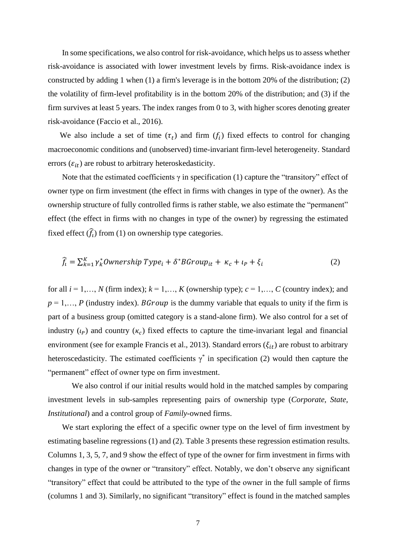In some specifications, we also control for risk-avoidance, which helps us to assess whether risk-avoidance is associated with lower investment levels by firms. Risk-avoidance index is constructed by adding 1 when (1) a firm's leverage is in the bottom 20% of the distribution; (2) the volatility of firm-level profitability is in the bottom 20% of the distribution; and (3) if the firm survives at least 5 years. The index ranges from 0 to 3, with higher scores denoting greater risk-avoidance (Faccio et al., 2016).

We also include a set of time  $(\tau_t)$  and firm  $(f_i)$  fixed effects to control for changing macroeconomic conditions and (unobserved) time-invariant firm-level heterogeneity. Standard errors  $(\varepsilon_{it})$  are robust to arbitrary heteroskedasticity.

Note that the estimated coefficients  $\gamma$  in specification (1) capture the "transitory" effect of owner type on firm investment (the effect in firms with changes in type of the owner). As the ownership structure of fully controlled firms is rather stable, we also estimate the "permanent" effect (the effect in firms with no changes in type of the owner) by regressing the estimated fixed effect  $(\widehat{f}_t)$  from (1) on ownership type categories.

$$
\widehat{f}_i = \sum_{k=1}^{K} \gamma_k^* \text{Ownership Type}_i + \delta^* \text{BGroup}_{it} + \kappa_c + \iota_p + \xi_i \tag{2}
$$

for all  $i = 1, \ldots, N$  (firm index);  $k = 1, \ldots, K$  (ownership type);  $c = 1, \ldots, C$  (country index); and  $p = 1, \ldots, P$  (industry index). *BGroup* is the dummy variable that equals to unity if the firm is part of a business group (omitted category is a stand-alone firm). We also control for a set of industry  $(\iota_p)$  and country  $(\kappa_c)$  fixed effects to capture the time-invariant legal and financial environment (see for example Francis et al., 2013). Standard errors  $(\xi_{it})$  are robust to arbitrary heteroscedasticity. The estimated coefficients  $\gamma^*$  in specification (2) would then capture the "permanent" effect of owner type on firm investment.

We also control if our initial results would hold in the matched samples by comparing investment levels in sub-samples representing pairs of ownership type (*Corporate, State, Institutional*) and a control group of *Family*-owned firms.

We start exploring the effect of a specific owner type on the level of firm investment by estimating baseline regressions (1) and (2). Table 3 presents these regression estimation results. Columns 1, 3, 5, 7, and 9 show the effect of type of the owner for firm investment in firms with changes in type of the owner or "transitory" effect. Notably, we don't observe any significant "transitory" effect that could be attributed to the type of the owner in the full sample of firms (columns 1 and 3). Similarly, no significant "transitory" effect is found in the matched samples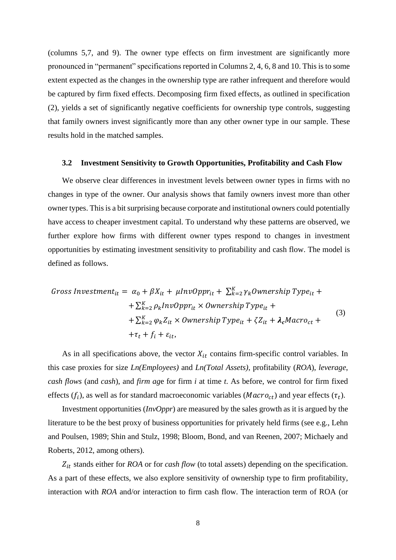(columns 5,7, and 9). The owner type effects on firm investment are significantly more pronounced in "permanent" specifications reported in Columns 2, 4, 6, 8 and 10. This is to some extent expected as the changes in the ownership type are rather infrequent and therefore would be captured by firm fixed effects. Decomposing firm fixed effects, as outlined in specification (2), yields a set of significantly negative coefficients for ownership type controls, suggesting that family owners invest significantly more than any other owner type in our sample. These results hold in the matched samples.

#### **3.2 Investment Sensitivity to Growth Opportunities, Profitability and Cash Flow**

We observe clear differences in investment levels between owner types in firms with no changes in type of the owner. Our analysis shows that family owners invest more than other owner types. This is a bit surprising because corporate and institutional owners could potentially have access to cheaper investment capital. To understand why these patterns are observed, we further explore how firms with different owner types respond to changes in investment opportunities by estimating investment sensitivity to profitability and cash flow. The model is defined as follows.

$$
Gross Investment_{it} = \alpha_0 + \beta X_{it} + \mu InvOppr_{it} + \sum_{k=2}^{K} \gamma_k Ownership Type_{it} +
$$
  
+  $\sum_{k=2}^{K} \rho_k InvOppr_{it} \times Ownership Type_{it} +$   
+  $\sum_{k=2}^{K} \varphi_k Z_{it} \times Ownership Type_{it} + \zeta Z_{it} + \lambda_c Macro_{ct} +$   
+  $\tau_t + f_i + \varepsilon_{it}$ , (3)

As in all specifications above, the vector  $X_{it}$  contains firm-specific control variables. In this case proxies for size *Ln(Employees)* and *Ln(Total Assets)*, profitability (*ROA*), *leverage*, *cash flows* (and *cash*), and *firm ag*e for firm *i* at time *t*. As before, we control for firm fixed effects  $(f_i)$ , as well as for standard macroeconomic variables (*Macro<sub>ct</sub>*) and year effects  $(\tau_t)$ .

Investment opportunities (*InvOppr*) are measured by the sales growth as it is argued by the literature to be the best proxy of business opportunities for privately held firms (see e.g., Lehn and Poulsen, 1989; Shin and Stulz, 1998; Bloom, Bond, and van Reenen, 2007; Michaely and Roberts, 2012, among others).

 stands either for *ROA* or for *cash flow* (to total assets) depending on the specification. As a part of these effects, we also explore sensitivity of ownership type to firm profitability, interaction with *ROA* and/or interaction to firm cash flow. The interaction term of ROA (or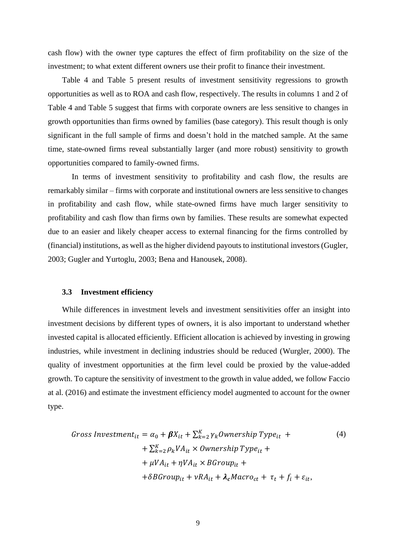cash flow) with the owner type captures the effect of firm profitability on the size of the investment; to what extent different owners use their profit to finance their investment.

Table 4 and Table 5 present results of investment sensitivity regressions to growth opportunities as well as to ROA and cash flow, respectively. The results in columns 1 and 2 of Table 4 and Table 5 suggest that firms with corporate owners are less sensitive to changes in growth opportunities than firms owned by families (base category). This result though is only significant in the full sample of firms and doesn't hold in the matched sample. At the same time, state-owned firms reveal substantially larger (and more robust) sensitivity to growth opportunities compared to family-owned firms.

In terms of investment sensitivity to profitability and cash flow, the results are remarkably similar – firms with corporate and institutional owners are less sensitive to changes in profitability and cash flow, while state-owned firms have much larger sensitivity to profitability and cash flow than firms own by families. These results are somewhat expected due to an easier and likely cheaper access to external financing for the firms controlled by (financial) institutions, as well as the higher dividend payouts to institutional investors (Gugler, 2003; Gugler and Yurtoglu, 2003; Bena and Hanousek, 2008).

#### **3.3 Investment efficiency**

While differences in investment levels and investment sensitivities offer an insight into investment decisions by different types of owners, it is also important to understand whether invested capital is allocated efficiently. Efficient allocation is achieved by investing in growing industries, while investment in declining industries should be reduced (Wurgler, 2000). The quality of investment opportunities at the firm level could be proxied by the value-added growth. To capture the sensitivity of investment to the growth in value added, we follow Faccio at al. (2016) and estimate the investment efficiency model augmented to account for the owner type.

$$
Gross Investment_{it} = \alpha_0 + \beta X_{it} + \sum_{k=2}^{K} \gamma_k \text{Ownership Type}_{it} +
$$
  
+  $\sum_{k=2}^{K} \rho_k V A_{it} \times \text{Ownership Type}_{it} +$   
+  $\mu V A_{it} + \eta V A_{it} \times \text{BGroup}_{it} +$   
+  $\delta B \text{Group}_{it} + \nu R A_{it} + \lambda_c \text{Maccro}_{ct} + \tau_t + f_i + \varepsilon_{it},$  (4)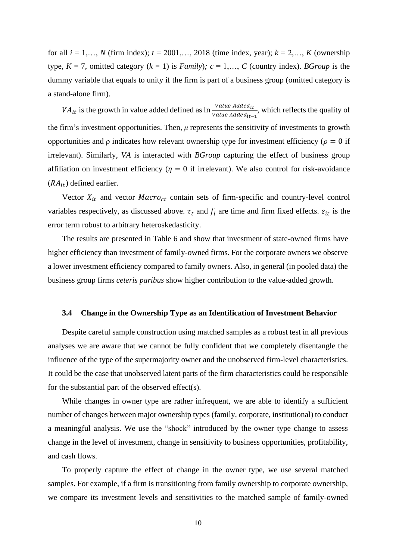for all  $i = 1,..., N$  (firm index);  $t = 2001,..., 2018$  (time index, year);  $k = 2,..., K$  (ownership type,  $K = 7$ , omitted category  $(k = 1)$  is *Family*);  $c = 1,..., C$  (country index). *BGroup* is the dummy variable that equals to unity if the firm is part of a business group (omitted category is a stand-alone firm).

 $VA_{it}$  is the growth in value added defined as  $\ln \frac{Value \text{ Added}_{it}}{Value \text{ Added}_{it-1}}$ , which reflects the quality of the firm's investment opportunities. Then, *μ* represents the sensitivity of investments to growth opportunities and  $\rho$  indicates how relevant ownership type for investment efficiency ( $\rho = 0$  if irrelevant). Similarly, *VA* is interacted with *BGroup* capturing the effect of business group affiliation on investment efficiency ( $\eta = 0$  if irrelevant). We also control for risk-avoidance  $(RA_{it})$  defined earlier.

Vector  $X_{it}$  and vector  $Maccro_{ct}$  contain sets of firm-specific and country-level control variables respectively, as discussed above.  $\tau_t$  and  $f_i$  are time and firm fixed effects.  $\varepsilon_{it}$  is the error term robust to arbitrary heteroskedasticity.

The results are presented in Table 6 and show that investment of state-owned firms have higher efficiency than investment of family-owned firms. For the corporate owners we observe a lower investment efficiency compared to family owners. Also, in general (in pooled data) the business group firms *ceteris paribus* show higher contribution to the value-added growth.

#### **3.4 Change in the Ownership Type as an Identification of Investment Behavior**

Despite careful sample construction using matched samples as a robust test in all previous analyses we are aware that we cannot be fully confident that we completely disentangle the influence of the type of the supermajority owner and the unobserved firm-level characteristics. It could be the case that unobserved latent parts of the firm characteristics could be responsible for the substantial part of the observed effect(s).

While changes in owner type are rather infrequent, we are able to identify a sufficient number of changes between major ownership types (family, corporate, institutional) to conduct a meaningful analysis. We use the "shock" introduced by the owner type change to assess change in the level of investment, change in sensitivity to business opportunities, profitability, and cash flows.

To properly capture the effect of change in the owner type, we use several matched samples. For example, if a firm is transitioning from family ownership to corporate ownership, we compare its investment levels and sensitivities to the matched sample of family-owned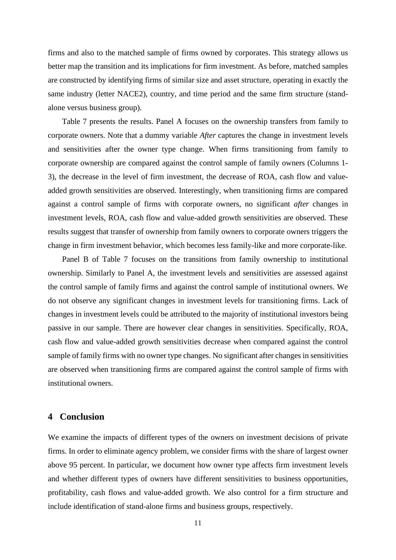firms and also to the matched sample of firms owned by corporates. This strategy allows us better map the transition and its implications for firm investment. As before, matched samples are constructed by identifying firms of similar size and asset structure, operating in exactly the same industry (letter NACE2), country, and time period and the same firm structure (standalone versus business group).

Table 7 presents the results. Panel A focuses on the ownership transfers from family to corporate owners. Note that a dummy variable *After* captures the change in investment levels and sensitivities after the owner type change. When firms transitioning from family to corporate ownership are compared against the control sample of family owners (Columns 1- 3), the decrease in the level of firm investment, the decrease of ROA, cash flow and valueadded growth sensitivities are observed. Interestingly, when transitioning firms are compared against a control sample of firms with corporate owners, no significant *after* changes in investment levels, ROA, cash flow and value-added growth sensitivities are observed. These results suggest that transfer of ownership from family owners to corporate owners triggers the change in firm investment behavior, which becomes less family-like and more corporate-like.

Panel B of Table 7 focuses on the transitions from family ownership to institutional ownership. Similarly to Panel A, the investment levels and sensitivities are assessed against the control sample of family firms and against the control sample of institutional owners. We do not observe any significant changes in investment levels for transitioning firms. Lack of changes in investment levels could be attributed to the majority of institutional investors being passive in our sample. There are however clear changes in sensitivities. Specifically, ROA, cash flow and value-added growth sensitivities decrease when compared against the control sample of family firms with no owner type changes. No significant after changes in sensitivities are observed when transitioning firms are compared against the control sample of firms with institutional owners.

### **4 Conclusion**

We examine the impacts of different types of the owners on investment decisions of private firms. In order to eliminate agency problem, we consider firms with the share of largest owner above 95 percent. In particular, we document how owner type affects firm investment levels and whether different types of owners have different sensitivities to business opportunities, profitability, cash flows and value-added growth. We also control for a firm structure and include identification of stand-alone firms and business groups, respectively.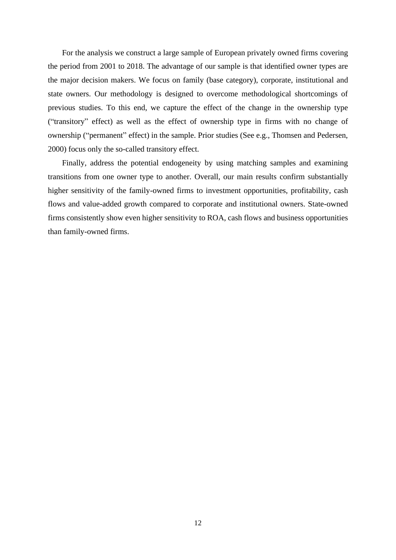For the analysis we construct a large sample of European privately owned firms covering the period from 2001 to 2018. The advantage of our sample is that identified owner types are the major decision makers. We focus on family (base category), corporate, institutional and state owners. Our methodology is designed to overcome methodological shortcomings of previous studies. To this end, we capture the effect of the change in the ownership type ("transitory" effect) as well as the effect of ownership type in firms with no change of ownership ("permanent" effect) in the sample. Prior studies (See e.g., Thomsen and Pedersen, 2000) focus only the so-called transitory effect.

Finally, address the potential endogeneity by using matching samples and examining transitions from one owner type to another. Overall, our main results confirm substantially higher sensitivity of the family-owned firms to investment opportunities, profitability, cash flows and value-added growth compared to corporate and institutional owners. State-owned firms consistently show even higher sensitivity to ROA, cash flows and business opportunities than family-owned firms.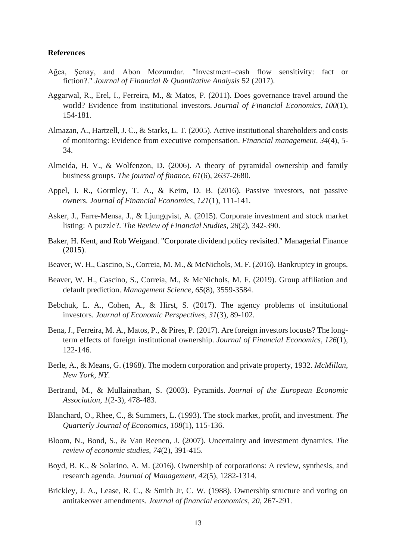#### **References**

- Ağca, Şenay, and Abon Mozumdar. "Investment–cash flow sensitivity: fact or fiction?." *Journal of Financial & Quantitative Analysis* 52 (2017).
- Aggarwal, R., Erel, I., Ferreira, M., & Matos, P. (2011). Does governance travel around the world? Evidence from institutional investors. *Journal of Financial Economics*, *100*(1), 154-181.
- Almazan, A., Hartzell, J. C., & Starks, L. T. (2005). Active institutional shareholders and costs of monitoring: Evidence from executive compensation. *Financial management*, *34*(4), 5- 34.
- Almeida, H. V., & Wolfenzon, D. (2006). A theory of pyramidal ownership and family business groups. *The journal of finance*, *61*(6), 2637-2680.
- Appel, I. R., Gormley, T. A., & Keim, D. B. (2016). Passive investors, not passive owners. *Journal of Financial Economics*, *121*(1), 111-141.
- Asker, J., Farre-Mensa, J., & Ljungqvist, A. (2015). Corporate investment and stock market listing: A puzzle?. *The Review of Financial Studies*, *28*(2), 342-390.
- Baker, H. Kent, and Rob Weigand. "Corporate dividend policy revisited." Managerial Finance (2015).
- Beaver, W. H., Cascino, S., Correia, M. M., & McNichols, M. F. (2016). Bankruptcy in groups.
- Beaver, W. H., Cascino, S., Correia, M., & McNichols, M. F. (2019). Group affiliation and default prediction. *Management Science*, *65*(8), 3559-3584.
- Bebchuk, L. A., Cohen, A., & Hirst, S. (2017). The agency problems of institutional investors. *Journal of Economic Perspectives*, *31*(3), 89-102.
- Bena, J., Ferreira, M. A., Matos, P., & Pires, P. (2017). Are foreign investors locusts? The longterm effects of foreign institutional ownership. *Journal of Financial Economics*, *126*(1), 122-146.
- Berle, A., & Means, G. (1968). The modern corporation and private property, 1932. *McMillan, New York, NY*.
- Bertrand, M., & Mullainathan, S. (2003). Pyramids. *Journal of the European Economic Association*, *1*(2-3), 478-483.
- Blanchard, O., Rhee, C., & Summers, L. (1993). The stock market, profit, and investment. *The Quarterly Journal of Economics*, *108*(1), 115-136.
- Bloom, N., Bond, S., & Van Reenen, J. (2007). Uncertainty and investment dynamics. *The review of economic studies*, *74*(2), 391-415.
- Boyd, B. K., & Solarino, A. M. (2016). Ownership of corporations: A review, synthesis, and research agenda. *Journal of Management*, *42*(5), 1282-1314.
- Brickley, J. A., Lease, R. C., & Smith Jr, C. W. (1988). Ownership structure and voting on antitakeover amendments. *Journal of financial economics*, *20*, 267-291.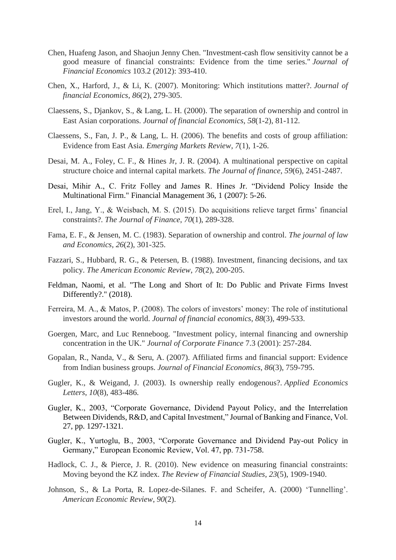- Chen, Huafeng Jason, and Shaojun Jenny Chen. "Investment-cash flow sensitivity cannot be a good measure of financial constraints: Evidence from the time series." *Journal of Financial Economics* 103.2 (2012): 393-410.
- Chen, X., Harford, J., & Li, K. (2007). Monitoring: Which institutions matter?. *Journal of financial Economics*, *86*(2), 279-305.
- Claessens, S., Djankov, S., & Lang, L. H. (2000). The separation of ownership and control in East Asian corporations. *Journal of financial Economics*, *58*(1-2), 81-112.
- Claessens, S., Fan, J. P., & Lang, L. H. (2006). The benefits and costs of group affiliation: Evidence from East Asia. *Emerging Markets Review*, *7*(1), 1-26.
- Desai, M. A., Foley, C. F., & Hines Jr, J. R. (2004). A multinational perspective on capital structure choice and internal capital markets. *The Journal of finance*, *59*(6), 2451-2487.
- Desai, Mihir A., C. Fritz Folley and James R. Hines Jr. "Dividend Policy Inside the Multinational Firm." Financial Management 36, 1 (2007): 5-26.
- Erel, I., Jang, Y., & Weisbach, M. S. (2015). Do acquisitions relieve target firms' financial constraints?. *The Journal of Finance*, *70*(1), 289-328.
- Fama, E. F., & Jensen, M. C. (1983). Separation of ownership and control. *The journal of law and Economics*, *26*(2), 301-325.
- Fazzari, S., Hubbard, R. G., & Petersen, B. (1988). Investment, financing decisions, and tax policy. *The American Economic Review*, *78*(2), 200-205.
- Feldman, Naomi, et al. "The Long and Short of It: Do Public and Private Firms Invest Differently?." (2018).
- Ferreira, M. A., & Matos, P. (2008). The colors of investors' money: The role of institutional investors around the world. *Journal of financial economics*, *88*(3), 499-533.
- Goergen, Marc, and Luc Renneboog. "Investment policy, internal financing and ownership concentration in the UK." *Journal of Corporate Finance* 7.3 (2001): 257-284.
- Gopalan, R., Nanda, V., & Seru, A. (2007). Affiliated firms and financial support: Evidence from Indian business groups. *Journal of Financial Economics*, *86*(3), 759-795.
- Gugler, K., & Weigand, J. (2003). Is ownership really endogenous?. *Applied Economics Letters*, *10*(8), 483-486.
- Gugler, K., 2003, "Corporate Governance, Dividend Payout Policy, and the Interrelation Between Dividends, R&D, and Capital Investment," Journal of Banking and Finance, Vol. 27, pp. 1297-1321.
- Gugler, K., Yurtoglu, B., 2003, "Corporate Governance and Dividend Pay-out Policy in Germany," European Economic Review, Vol. 47, pp. 731-758.
- Hadlock, C. J., & Pierce, J. R. (2010). New evidence on measuring financial constraints: Moving beyond the KZ index. *The Review of Financial Studies*, *23*(5), 1909-1940.
- Johnson, S., & La Porta, R. Lopez-de-Silanes. F. and Scheifer, A. (2000) 'Tunnelling'. *American Economic Review*, *90*(2).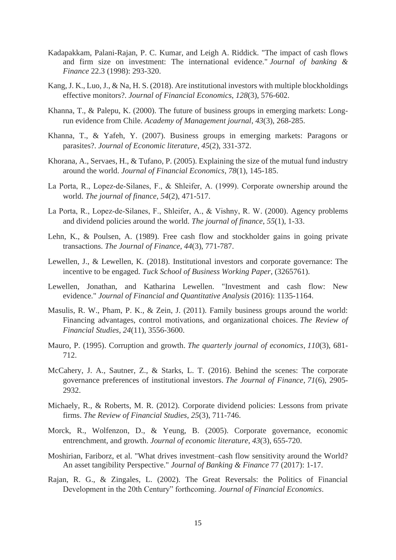- Kadapakkam, Palani-Rajan, P. C. Kumar, and Leigh A. Riddick. "The impact of cash flows and firm size on investment: The international evidence." *Journal of banking & Finance* 22.3 (1998): 293-320.
- Kang, J. K., Luo, J., & Na, H. S. (2018). Are institutional investors with multiple blockholdings effective monitors?. *Journal of Financial Economics*, *128*(3), 576-602.
- Khanna, T., & Palepu, K. (2000). The future of business groups in emerging markets: Longrun evidence from Chile. *Academy of Management journal*, *43*(3), 268-285.
- Khanna, T., & Yafeh, Y. (2007). Business groups in emerging markets: Paragons or parasites?. *Journal of Economic literature*, *45*(2), 331-372.
- Khorana, A., Servaes, H., & Tufano, P. (2005). Explaining the size of the mutual fund industry around the world. *Journal of Financial Economics*, *78*(1), 145-185.
- La Porta, R., Lopez‐de‐Silanes, F., & Shleifer, A. (1999). Corporate ownership around the world. *The journal of finance*, *54*(2), 471-517.
- La Porta, R., Lopez‐de‐Silanes, F., Shleifer, A., & Vishny, R. W. (2000). Agency problems and dividend policies around the world. *The journal of finance*, *55*(1), 1-33.
- Lehn, K., & Poulsen, A. (1989). Free cash flow and stockholder gains in going private transactions. *The Journal of Finance*, *44*(3), 771-787.
- Lewellen, J., & Lewellen, K. (2018). Institutional investors and corporate governance: The incentive to be engaged. *Tuck School of Business Working Paper*, (3265761).
- Lewellen, Jonathan, and Katharina Lewellen. "Investment and cash flow: New evidence." *Journal of Financial and Quantitative Analysis* (2016): 1135-1164.
- Masulis, R. W., Pham, P. K., & Zein, J. (2011). Family business groups around the world: Financing advantages, control motivations, and organizational choices. *The Review of Financial Studies*, *24*(11), 3556-3600.
- Mauro, P. (1995). Corruption and growth. *The quarterly journal of economics*, *110*(3), 681- 712.
- McCahery, J. A., Sautner, Z., & Starks, L. T. (2016). Behind the scenes: The corporate governance preferences of institutional investors. *The Journal of Finance*, *71*(6), 2905- 2932.
- Michaely, R., & Roberts, M. R. (2012). Corporate dividend policies: Lessons from private firms. *The Review of Financial Studies*, *25*(3), 711-746.
- Morck, R., Wolfenzon, D., & Yeung, B. (2005). Corporate governance, economic entrenchment, and growth. *Journal of economic literature*, *43*(3), 655-720.
- Moshirian, Fariborz, et al. "What drives investment–cash flow sensitivity around the World? An asset tangibility Perspective." *Journal of Banking & Finance* 77 (2017): 1-17.
- Rajan, R. G., & Zingales, L. (2002). The Great Reversals: the Politics of Financial Development in the 20th Century" forthcoming. *Journal of Financial Economics*.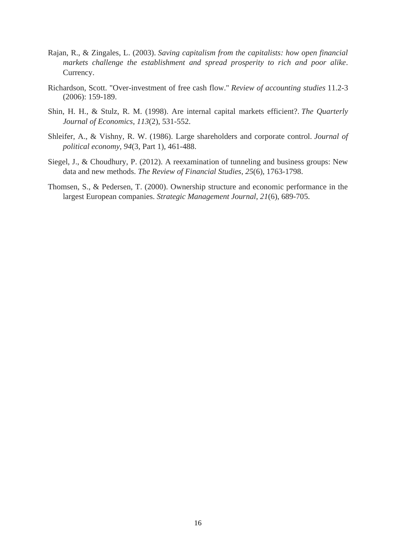- Rajan, R., & Zingales, L. (2003). *Saving capitalism from the capitalists: how open financial markets challenge the establishment and spread prosperity to rich and poor alike*. Currency.
- Richardson, Scott. "Over-investment of free cash flow." *Review of accounting studies* 11.2-3 (2006): 159-189.
- Shin, H. H., & Stulz, R. M. (1998). Are internal capital markets efficient?. *The Quarterly Journal of Economics*, *113*(2), 531-552.
- Shleifer, A., & Vishny, R. W. (1986). Large shareholders and corporate control. *Journal of political economy*, *94*(3, Part 1), 461-488.
- Siegel, J., & Choudhury, P. (2012). A reexamination of tunneling and business groups: New data and new methods. *The Review of Financial Studies*, *25*(6), 1763-1798.
- Thomsen, S., & Pedersen, T. (2000). Ownership structure and economic performance in the largest European companies. *Strategic Management Journal*, *21*(6), 689-705.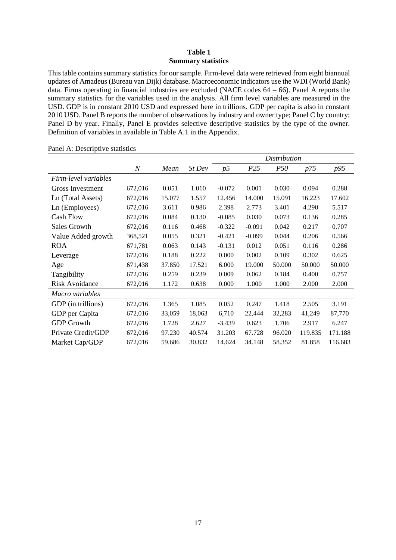#### **Table 1 Summary statistics**

This table contains summary statistics for our sample. Firm-level data were retrieved from eight biannual updates of Amadeus (Bureau van Dijk) database. Macroeconomic indicators use the WDI (World Bank) data. Firms operating in financial industries are excluded (NACE codes 64 – 66). Panel A reports the summary statistics for the variables used in the analysis. All firm level variables are measured in the USD. GDP is in constant 2010 USD and expressed here in trillions. GDP per capita is also in constant 2010 USD. Panel B reports the number of observations by industry and owner type; Panel C by country; Panel D by year. Finally, Panel E provides selective descriptive statistics by the type of the owner. Definition of variables in available in Table A.1 in the Appendix.

|                       |                  |        |        | Distribution |          |            |             |         |  |  |
|-----------------------|------------------|--------|--------|--------------|----------|------------|-------------|---------|--|--|
|                       | $\boldsymbol{N}$ | Mean   | St Dev | p5           | P25      | <i>P50</i> | <i>p</i> 75 | p95     |  |  |
| Firm-level variables  |                  |        |        |              |          |            |             |         |  |  |
| Gross Investment      | 672,016          | 0.051  | 1.010  | $-0.072$     | 0.001    | 0.030      | 0.094       | 0.288   |  |  |
| Ln (Total Assets)     | 672,016          | 15.077 | 1.557  | 12.456       | 14.000   | 15.091     | 16.223      | 17.602  |  |  |
| Ln (Employees)        | 672,016          | 3.611  | 0.986  | 2.398        | 2.773    | 3.401      | 4.290       | 5.517   |  |  |
| <b>Cash Flow</b>      | 672,016          | 0.084  | 0.130  | $-0.085$     | 0.030    | 0.073      | 0.136       | 0.285   |  |  |
| <b>Sales Growth</b>   | 672,016          | 0.116  | 0.468  | $-0.322$     | $-0.091$ | 0.042      | 0.217       | 0.707   |  |  |
| Value Added growth    | 368,521          | 0.055  | 0.321  | $-0.421$     | $-0.099$ | 0.044      | 0.206       | 0.566   |  |  |
| <b>ROA</b>            | 671,781          | 0.063  | 0.143  | $-0.131$     | 0.012    | 0.051      | 0.116       | 0.286   |  |  |
| Leverage              | 672,016          | 0.188  | 0.222  | 0.000        | 0.002    | 0.109      | 0.302       | 0.625   |  |  |
| Age                   | 671,438          | 37.850 | 17.521 | 6.000        | 19.000   | 50.000     | 50.000      | 50.000  |  |  |
| Tangibility           | 672,016          | 0.259  | 0.239  | 0.009        | 0.062    | 0.184      | 0.400       | 0.757   |  |  |
| <b>Risk Avoidance</b> | 672,016          | 1.172  | 0.638  | 0.000        | 1.000    | 1.000      | 2.000       | 2.000   |  |  |
| Macro variables       |                  |        |        |              |          |            |             |         |  |  |
| GDP (in trillions)    | 672,016          | 1.365  | 1.085  | 0.052        | 0.247    | 1.418      | 2.505       | 3.191   |  |  |
| GDP per Capita        | 672,016          | 33,059 | 18,063 | 6,710        | 22,444   | 32,283     | 41,249      | 87,770  |  |  |
| <b>GDP</b> Growth     | 672,016          | 1.728  | 2.627  | $-3.439$     | 0.623    | 1.706      | 2.917       | 6.247   |  |  |
| Private Credit/GDP    | 672,016          | 97.230 | 40.574 | 31.203       | 67.728   | 96.020     | 119.835     | 171.188 |  |  |
| Market Cap/GDP        | 672,016          | 59.686 | 30.832 | 14.624       | 34.148   | 58.352     | 81.858      | 116.683 |  |  |

Panel A: Descriptive statistics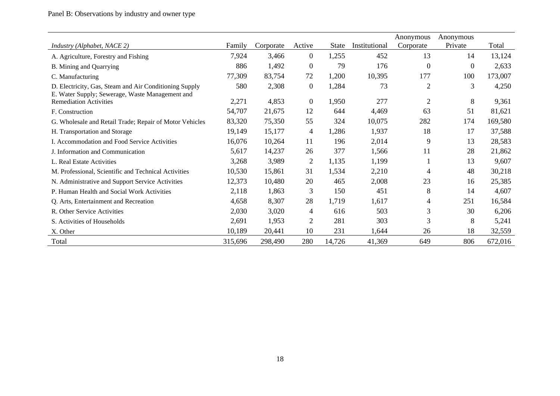|                                                                                                           |         |           |                  |              |               | Anonymous      | Anonymous |         |
|-----------------------------------------------------------------------------------------------------------|---------|-----------|------------------|--------------|---------------|----------------|-----------|---------|
| Industry (Alphabet, NACE 2)                                                                               | Family  | Corporate | Active           | <b>State</b> | Institutional | Corporate      | Private   | Total   |
| A. Agriculture, Forestry and Fishing                                                                      | 7,924   | 3,466     | $\overline{0}$   | 1,255        | 452           | 13             | 14        | 13,124  |
| B. Mining and Quarrying                                                                                   | 886     | 1,492     | $\boldsymbol{0}$ | 79           | 176           | $\theta$       | $\theta$  | 2,633   |
| C. Manufacturing                                                                                          | 77,309  | 83,754    | 72               | 1,200        | 10,395        | 177            | 100       | 173,007 |
| D. Electricity, Gas, Steam and Air Conditioning Supply<br>E. Water Supply; Sewerage, Waste Management and | 580     | 2,308     | $\boldsymbol{0}$ | 1,284        | 73            | $\overline{2}$ | 3         | 4,250   |
| <b>Remediation Activities</b>                                                                             | 2,271   | 4,853     | $\boldsymbol{0}$ | 1,950        | 277           | $\overline{2}$ | 8         | 9,361   |
| F. Construction                                                                                           | 54,707  | 21,675    | 12               | 644          | 4,469         | 63             | 51        | 81,621  |
| G. Wholesale and Retail Trade; Repair of Motor Vehicles                                                   | 83,320  | 75,350    | 55               | 324          | 10,075        | 282            | 174       | 169,580 |
| H. Transportation and Storage                                                                             | 19,149  | 15,177    | 4                | 1,286        | 1,937         | 18             | 17        | 37,588  |
| I. Accommodation and Food Service Activities                                                              | 16,076  | 10,264    | 11               | 196          | 2,014         | 9              | 13        | 28,583  |
| J. Information and Communication                                                                          | 5,617   | 14,237    | 26               | 377          | 1,566         | 11             | 28        | 21,862  |
| L. Real Estate Activities                                                                                 | 3,268   | 3,989     | $\overline{c}$   | 1,135        | 1,199         |                | 13        | 9,607   |
| M. Professional, Scientific and Technical Activities                                                      | 10,530  | 15,861    | 31               | 1,534        | 2,210         | 4              | 48        | 30,218  |
| N. Administrative and Support Service Activities                                                          | 12,373  | 10,480    | 20               | 465          | 2,008         | 23             | 16        | 25,385  |
| P. Human Health and Social Work Activities                                                                | 2,118   | 1,863     | 3                | 150          | 451           | 8              | 14        | 4,607   |
| Q. Arts, Entertainment and Recreation                                                                     | 4,658   | 8,307     | 28               | 1,719        | 1,617         | 4              | 251       | 16,584  |
| R. Other Service Activities                                                                               | 2,030   | 3,020     | 4                | 616          | 503           | 3              | 30        | 6,206   |
| S. Activities of Households                                                                               | 2,691   | 1,953     | $\overline{2}$   | 281          | 303           | 3              | 8         | 5,241   |
| X. Other                                                                                                  | 10,189  | 20,441    | 10               | 231          | 1,644         | 26             | 18        | 32,559  |
| Total                                                                                                     | 315,696 | 298,490   | 280              | 14,726       | 41,369        | 649            | 806       | 672,016 |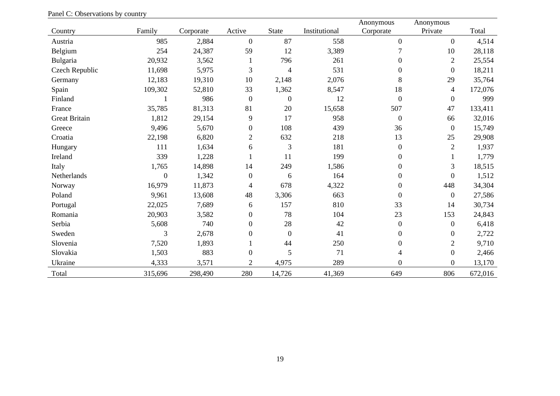|                      |              |           |                  |                  |               | Anonymous        | Anonymous        |         |
|----------------------|--------------|-----------|------------------|------------------|---------------|------------------|------------------|---------|
| Country              | Family       | Corporate | Active           | <b>State</b>     | Institutional | Corporate        | Private          | Total   |
| Austria              | 985          | 2,884     | $\overline{0}$   | 87               | 558           | $\boldsymbol{0}$ | $\overline{0}$   | 4,514   |
| Belgium              | 254          | 24,387    | 59               | 12               | 3,389         |                  | 10               | 28,118  |
| Bulgaria             | 20,932       | 3,562     |                  | 796              | 261           | $\boldsymbol{0}$ | $\overline{2}$   | 25,554  |
| Czech Republic       | 11,698       | 5,975     | 3                | $\overline{4}$   | 531           | $\boldsymbol{0}$ | $\boldsymbol{0}$ | 18,211  |
| Germany              | 12,183       | 19,310    | 10               | 2,148            | 2,076         | $8\,$            | 29               | 35,764  |
| Spain                | 109,302      | 52,810    | 33               | 1,362            | 8,547         | 18               | 4                | 172,076 |
| Finland              |              | 986       | $\mathbf{0}$     | $\boldsymbol{0}$ | 12            | $\boldsymbol{0}$ | $\boldsymbol{0}$ | 999     |
| France               | 35,785       | 81,313    | 81               | 20               | 15,658        | 507              | 47               | 133,411 |
| <b>Great Britain</b> | 1,812        | 29,154    | 9                | 17               | 958           | $\boldsymbol{0}$ | 66               | 32,016  |
| Greece               | 9,496        | 5,670     | $\boldsymbol{0}$ | 108              | 439           | 36               | $\overline{0}$   | 15,749  |
| Croatia              | 22,198       | 6,820     | $\overline{2}$   | 632              | 218           | 13               | 25               | 29,908  |
| Hungary              | 111          | 1,634     | 6                | 3                | 181           | $\boldsymbol{0}$ | $\overline{2}$   | 1,937   |
| Ireland              | 339          | 1,228     |                  | 11               | 199           | $\boldsymbol{0}$ |                  | 1,779   |
| Italy                | 1,765        | 14,898    | 14               | 249              | 1,586         | $\boldsymbol{0}$ | 3                | 18,515  |
| Netherlands          | $\mathbf{0}$ | 1,342     | $\mathbf{0}$     | 6                | 164           | $\boldsymbol{0}$ | $\boldsymbol{0}$ | 1,512   |
| Norway               | 16,979       | 11,873    | 4                | 678              | 4,322         | $\boldsymbol{0}$ | 448              | 34,304  |
| Poland               | 9,961        | 13,608    | 48               | 3,306            | 663           | $\boldsymbol{0}$ | $\boldsymbol{0}$ | 27,586  |
| Portugal             | 22,025       | 7,689     | 6                | 157              | 810           | 33               | 14               | 30,734  |
| Romania              | 20,903       | 3,582     | $\mathbf{0}$     | 78               | 104           | 23               | 153              | 24,843  |
| Serbia               | 5,608        | 740       | $\boldsymbol{0}$ | 28               | 42            | $\boldsymbol{0}$ | $\boldsymbol{0}$ | 6,418   |
| Sweden               | 3            | 2,678     | $\boldsymbol{0}$ | $\boldsymbol{0}$ | 41            | $\boldsymbol{0}$ | $\boldsymbol{0}$ | 2,722   |
| Slovenia             | 7,520        | 1,893     |                  | 44               | 250           | $\boldsymbol{0}$ | $\overline{2}$   | 9,710   |
| Slovakia             | 1,503        | 883       | $\boldsymbol{0}$ | 5                | 71            | 4                | $\boldsymbol{0}$ | 2,466   |
| Ukraine              | 4,333        | 3,571     | $\overline{2}$   | 4,975            | 289           | $\boldsymbol{0}$ | $\boldsymbol{0}$ | 13,170  |
| Total                | 315,696      | 298,490   | 280              | 14,726           | 41,369        | 649              | 806              | 672,016 |

Panel C: Observations by country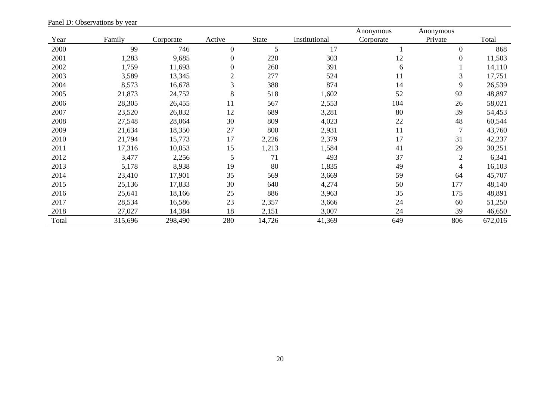|       |         |           |                  |              |               | Anonymous | Anonymous      |         |
|-------|---------|-----------|------------------|--------------|---------------|-----------|----------------|---------|
| Year  | Family  | Corporate | Active           | <b>State</b> | Institutional | Corporate | Private        | Total   |
| 2000  | 99      | 746       | $\mathbf{0}$     | 5            | 17            |           | $\mathbf{0}$   | 868     |
| 2001  | 1,283   | 9,685     | 0                | 220          | 303           | 12        | $\mathbf{0}$   | 11,503  |
| 2002  | 1,759   | 11,693    | $\boldsymbol{0}$ | 260          | 391           | 6         |                | 14,110  |
| 2003  | 3,589   | 13,345    | $\overline{2}$   | 277          | 524           | 11        | 3              | 17,751  |
| 2004  | 8,573   | 16,678    | 3                | 388          | 874           | 14        | 9              | 26,539  |
| 2005  | 21,873  | 24,752    | 8                | 518          | 1,602         | 52        | 92             | 48,897  |
| 2006  | 28,305  | 26,455    | 11               | 567          | 2,553         | 104       | 26             | 58,021  |
| 2007  | 23,520  | 26,832    | 12               | 689          | 3,281         | 80        | 39             | 54,453  |
| 2008  | 27,548  | 28,064    | 30               | 809          | 4,023         | 22        | 48             | 60,544  |
| 2009  | 21,634  | 18,350    | 27               | 800          | 2,931         | 11        | $\overline{7}$ | 43,760  |
| 2010  | 21,794  | 15,773    | 17               | 2,226        | 2,379         | 17        | 31             | 42,237  |
| 2011  | 17,316  | 10,053    | 15               | 1,213        | 1,584         | 41        | 29             | 30,251  |
| 2012  | 3,477   | 2,256     | 5                | 71           | 493           | 37        | $\overline{2}$ | 6,341   |
| 2013  | 5,178   | 8,938     | 19               | 80           | 1,835         | 49        | 4              | 16,103  |
| 2014  | 23,410  | 17,901    | 35               | 569          | 3,669         | 59        | 64             | 45,707  |
| 2015  | 25,136  | 17,833    | 30               | 640          | 4,274         | 50        | 177            | 48,140  |
| 2016  | 25,641  | 18,166    | 25               | 886          | 3,963         | 35        | 175            | 48,891  |
| 2017  | 28,534  | 16,586    | 23               | 2,357        | 3,666         | 24        | 60             | 51,250  |
| 2018  | 27,027  | 14,384    | 18               | 2,151        | 3,007         | 24        | 39             | 46,650  |
| Total | 315,696 | 298,490   | 280              | 14,726       | 41,369        | 649       | 806            | 672,016 |

Panel D: Observations by year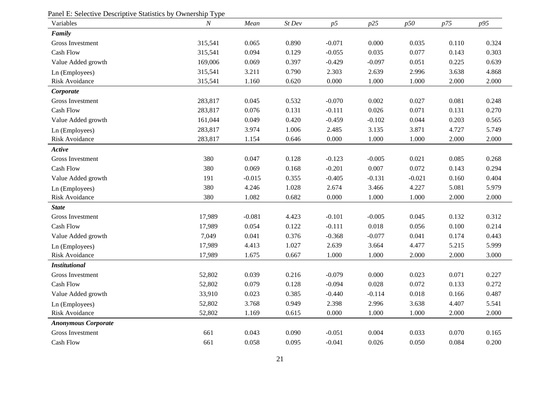| Panel E: Selective Descriptive Statistics by Ownership Type<br>Variables | $\cal N$ | Mean     | St Dev | p5        | p25      | p50      | p75   | p95   |
|--------------------------------------------------------------------------|----------|----------|--------|-----------|----------|----------|-------|-------|
| Family                                                                   |          |          |        |           |          |          |       |       |
| <b>Gross Investment</b>                                                  | 315,541  | 0.065    | 0.890  | $-0.071$  | 0.000    | 0.035    | 0.110 | 0.324 |
| <b>Cash Flow</b>                                                         | 315,541  | 0.094    | 0.129  | $-0.055$  | 0.035    | 0.077    | 0.143 | 0.303 |
| Value Added growth                                                       | 169,006  | 0.069    | 0.397  | $-0.429$  | $-0.097$ | 0.051    | 0.225 | 0.639 |
| Ln (Employees)                                                           | 315,541  | 3.211    | 0.790  | 2.303     | 2.639    | 2.996    | 3.638 | 4.868 |
| Risk Avoidance                                                           | 315,541  | 1.160    | 0.620  | 0.000     | 1.000    | 1.000    | 2.000 | 2.000 |
| Corporate                                                                |          |          |        |           |          |          |       |       |
| <b>Gross Investment</b>                                                  | 283,817  | 0.045    | 0.532  | $-0.070$  | 0.002    | 0.027    | 0.081 | 0.248 |
| <b>Cash Flow</b>                                                         | 283,817  | 0.076    | 0.131  | $-0.111$  | 0.026    | 0.071    | 0.131 | 0.270 |
| Value Added growth                                                       | 161,044  | 0.049    | 0.420  | $-0.459$  | $-0.102$ | 0.044    | 0.203 | 0.565 |
| Ln (Employees)                                                           | 283,817  | 3.974    | 1.006  | 2.485     | 3.135    | 3.871    | 4.727 | 5.749 |
| Risk Avoidance                                                           | 283,817  | 1.154    | 0.646  | $0.000\,$ | 1.000    | 1.000    | 2.000 | 2.000 |
| Active                                                                   |          |          |        |           |          |          |       |       |
| Gross Investment                                                         | 380      | 0.047    | 0.128  | $-0.123$  | $-0.005$ | 0.021    | 0.085 | 0.268 |
| Cash Flow                                                                | 380      | 0.069    | 0.168  | $-0.201$  | 0.007    | 0.072    | 0.143 | 0.294 |
| Value Added growth                                                       | 191      | $-0.015$ | 0.355  | $-0.405$  | $-0.131$ | $-0.021$ | 0.160 | 0.404 |
| Ln (Employees)                                                           | 380      | 4.246    | 1.028  | 2.674     | 3.466    | 4.227    | 5.081 | 5.979 |
| Risk Avoidance                                                           | 380      | 1.082    | 0.682  | 0.000     | 1.000    | 1.000    | 2.000 | 2.000 |
| <b>State</b>                                                             |          |          |        |           |          |          |       |       |
| <b>Gross Investment</b>                                                  | 17,989   | $-0.081$ | 4.423  | $-0.101$  | $-0.005$ | 0.045    | 0.132 | 0.312 |
| <b>Cash Flow</b>                                                         | 17,989   | 0.054    | 0.122  | $-0.111$  | 0.018    | 0.056    | 0.100 | 0.214 |
| Value Added growth                                                       | 7,049    | 0.041    | 0.376  | $-0.368$  | $-0.077$ | 0.041    | 0.174 | 0.443 |
| Ln (Employees)                                                           | 17,989   | 4.413    | 1.027  | 2.639     | 3.664    | 4.477    | 5.215 | 5.999 |
| Risk Avoidance                                                           | 17,989   | 1.675    | 0.667  | 1.000     | 1.000    | 2.000    | 2.000 | 3.000 |
| <b>Institutional</b>                                                     |          |          |        |           |          |          |       |       |
| <b>Gross Investment</b>                                                  | 52,802   | 0.039    | 0.216  | $-0.079$  | 0.000    | 0.023    | 0.071 | 0.227 |
| <b>Cash Flow</b>                                                         | 52,802   | 0.079    | 0.128  | $-0.094$  | 0.028    | 0.072    | 0.133 | 0.272 |
| Value Added growth                                                       | 33,910   | 0.023    | 0.385  | $-0.440$  | $-0.114$ | 0.018    | 0.166 | 0.487 |
| Ln (Employees)                                                           | 52,802   | 3.768    | 0.949  | 2.398     | 2.996    | 3.638    | 4.407 | 5.541 |
| <b>Risk Avoidance</b>                                                    | 52,802   | 1.169    | 0.615  | 0.000     | 1.000    | 1.000    | 2.000 | 2.000 |
| <b>Anonymous Corporate</b>                                               |          |          |        |           |          |          |       |       |
| Gross Investment                                                         | 661      | 0.043    | 0.090  | $-0.051$  | 0.004    | 0.033    | 0.070 | 0.165 |
| Cash Flow                                                                | 661      | 0.058    | 0.095  | $-0.041$  | 0.026    | 0.050    | 0.084 | 0.200 |

#### Panel E: Selective Descriptive Statistics by Ownership Type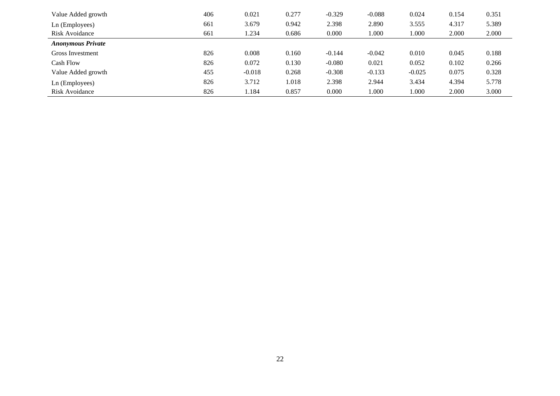| Value Added growth       | 406 | 0.021    | 0.277 | $-0.329$ | $-0.088$ | 0.024    | 0.154 | 0.351 |
|--------------------------|-----|----------|-------|----------|----------|----------|-------|-------|
| Ln (Employees)           | 661 | 3.679    | 0.942 | 2.398    | 2.890    | 3.555    | 4.317 | 5.389 |
| Risk Avoidance           | 661 | 1.234    | 0.686 | 0.000    | 1.000    | 1.000    | 2.000 | 2.000 |
| <b>Anonymous Private</b> |     |          |       |          |          |          |       |       |
| Gross Investment         | 826 | 0.008    | 0.160 | $-0.144$ | $-0.042$ | 0.010    | 0.045 | 0.188 |
| <b>Cash Flow</b>         | 826 | 0.072    | 0.130 | $-0.080$ | 0.021    | 0.052    | 0.102 | 0.266 |
| Value Added growth       | 455 | $-0.018$ | 0.268 | $-0.308$ | $-0.133$ | $-0.025$ | 0.075 | 0.328 |
| Ln (Employees)           | 826 | 3.712    | 1.018 | 2.398    | 2.944    | 3.434    | 4.394 | 5.778 |
| Risk Avoidance           | 826 | 1.184    | 0.857 | 0.000    | 000.1    | 1.000    | 2.000 | 3.000 |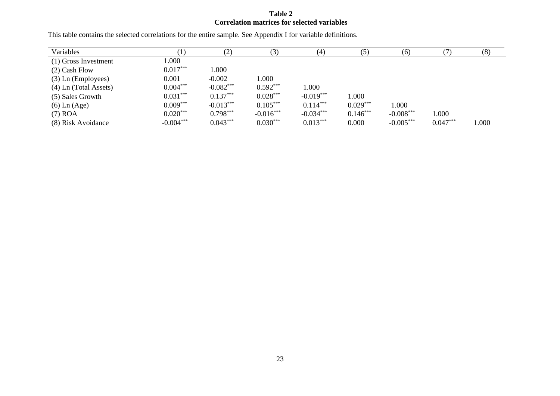### **Table 2 Correlation matrices for selected variables**

| Variables               |             |             |             | (4)         | (5)        | (6)         |            | (8)   |
|-------------------------|-------------|-------------|-------------|-------------|------------|-------------|------------|-------|
| (1) Gross Investment    | 000.1       |             |             |             |            |             |            |       |
| $(2)$ Cash Flow         | $0.017***$  | 000.1       |             |             |            |             |            |       |
| $(3)$ Ln (Employees)    | 0.001       | $-0.002$    | 000.1       |             |            |             |            |       |
| $(4)$ Ln (Total Assets) | $0.004***$  | $-0.082***$ | $0.592***$  | 1.000       |            |             |            |       |
| (5) Sales Growth        | $0.031***$  | $0.137***$  | $0.028***$  | $-0.019***$ | 1.000      |             |            |       |
| $(6)$ Ln $(Age)$        | $0.009***$  | $-0.013***$ | $0.105***$  | $0.114***$  | $0.029***$ | 1.000       |            |       |
| $(7)$ ROA               | $0.020***$  | $0.798***$  | $-0.016***$ | $-0.034***$ | $0.146***$ | $-0.008***$ | 1.000      |       |
| (8) Risk Avoidance      | $-0.004***$ | $0.043***$  | $0.030***$  | $0.013***$  | 0.000      | $-0.005***$ | $0.047***$ | 1.000 |

This table contains the selected correlations for the entire sample. See Appendix I for variable definitions.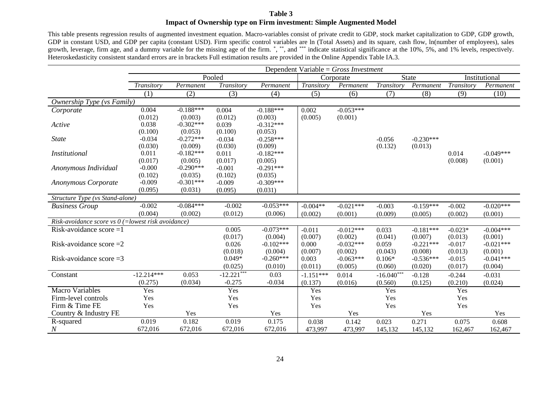#### **Table 3 Impact of Ownership type on Firm investment: Simple Augmented Model**

This table presents regression results of augmented investment equation. Macro-variables consist of private credit to GDP, stock market capitalization to GDP, GDP growth, GDP in constant USD, and GDP per capita (constant USD). Firm specific control variables are ln (Total Assets) and its square, cash flow, ln(number of employees), sales growth, leverage, firm age, and a dummy variable for the missing age of the firm. \*,\*\*, and\*\*\*\* indicate statistical significance at the 10%, 5%, and 1% levels, respectively. Heteroskedasticity consistent standard errors are in brackets Full estimation results are provided in the Online Appendix Table IA.3.

|                                                      | Dependent Variable = $Gross$ Investment |             |               |             |             |             |              |              |            |               |
|------------------------------------------------------|-----------------------------------------|-------------|---------------|-------------|-------------|-------------|--------------|--------------|------------|---------------|
|                                                      |                                         |             | Pooled        |             |             | Corporate   |              | <b>State</b> |            | Institutional |
|                                                      | Transitory                              | Permanent   | Transitory    | Permanent   | Transitory  | Permanent   | Transitory   | Permanent    | Transitory | Permanent     |
|                                                      | (1)                                     | (2)         | (3)           | (4)         | (5)         | (6)         | (7)          | (8)          | (9)        | (10)          |
| Ownership Type (vs Family)                           |                                         |             |               |             |             |             |              |              |            |               |
| Corporate                                            | 0.004                                   | $-0.188***$ | 0.004         | $-0.188***$ | 0.002       | $-0.053***$ |              |              |            |               |
|                                                      | (0.012)                                 | (0.003)     | (0.012)       | (0.003)     | (0.005)     | (0.001)     |              |              |            |               |
| Active                                               | 0.038                                   | $-0.302***$ | 0.039         | $-0.312***$ |             |             |              |              |            |               |
|                                                      | (0.100)                                 | (0.053)     | (0.100)       | (0.053)     |             |             |              |              |            |               |
| <b>State</b>                                         | $-0.034$                                | $-0.272***$ | $-0.034$      | $-0.258***$ |             |             | $-0.056$     | $-0.230***$  |            |               |
|                                                      | (0.030)                                 | (0.009)     | (0.030)       | (0.009)     |             |             | (0.132)      | (0.013)      |            |               |
| <i>Institutional</i>                                 | 0.011                                   | $-0.182***$ | 0.011         | $-0.182***$ |             |             |              |              | 0.014      | $-0.049***$   |
|                                                      | (0.017)                                 | (0.005)     | (0.017)       | (0.005)     |             |             |              |              | (0.008)    | (0.001)       |
| Anonymous Individual                                 | $-0.000$                                | $-0.290***$ | $-0.001$      | $-0.291***$ |             |             |              |              |            |               |
|                                                      | (0.102)                                 | (0.035)     | (0.102)       | (0.035)     |             |             |              |              |            |               |
| <b>Anonymous Corporate</b>                           | $-0.009$                                | $-0.301***$ | $-0.009$      | $-0.309***$ |             |             |              |              |            |               |
|                                                      | (0.095)                                 | (0.031)     | (0.095)       | (0.031)     |             |             |              |              |            |               |
| Structure Type (vs Stand-alone)                      |                                         |             |               |             |             |             |              |              |            |               |
| <b>Business Group</b>                                | $-0.002$                                | $-0.084***$ | $-0.002$      | $-0.053***$ | $-0.004**$  | $-0.021***$ | $-0.003$     | $-0.159***$  | $-0.002$   | $-0.020***$   |
|                                                      | (0.004)                                 | (0.002)     | (0.012)       | (0.006)     | (0.002)     | (0.001)     | (0.009)      | (0.005)      | (0.002)    | (0.001)       |
| Risk-avoidance score vs $0$ (=lowest risk avoidance) |                                         |             |               |             |             |             |              |              |            |               |
| $\overline{\text{Risk}}$ -avoidance score =1         |                                         |             | 0.005         | $-0.073***$ | $-0.011$    | $-0.012***$ | 0.033        | $-0.181***$  | $-0.023*$  | $-0.004***$   |
|                                                      |                                         |             | (0.017)       | (0.004)     | (0.007)     | (0.002)     | (0.041)      | (0.007)      | (0.013)    | (0.001)       |
| Risk-avoidance score $=2$                            |                                         |             | 0.026         | $-0.102***$ | 0.000       | $-0.032***$ | 0.059        | $-0.221***$  | $-0.017$   | $-0.021***$   |
|                                                      |                                         |             | (0.018)       | (0.004)     | (0.007)     | (0.002)     | (0.043)      | (0.008)      | (0.013)    | (0.001)       |
| Risk-avoidance score $=3$                            |                                         |             | $0.049*$      | $-0.260***$ | 0.003       | $-0.063***$ | $0.106*$     | $-0.536***$  | $-0.015$   | $-0.041***$   |
|                                                      |                                         |             | (0.025)       | (0.010)     | (0.011)     | (0.005)     | (0.060)      | (0.020)      | (0.017)    | (0.004)       |
| Constant                                             | $-12.214***$                            | 0.053       | $-12.221$ *** | 0.03        | $-1.151***$ | 0.014       | $-16.040***$ | $-0.128$     | $-0.244$   | $-0.031$      |
|                                                      | (0.275)                                 | (0.034)     | $-0.275$      | $-0.034$    | (0.137)     | (0.016)     | (0.560)      | (0.125)      | (0.210)    | (0.024)       |
| <b>Macro Variables</b>                               | Yes                                     |             | Yes           |             | Yes         |             | Yes          |              | Yes        |               |
| Firm-level controls                                  | Yes                                     |             | Yes           |             | Yes         |             | Yes          |              | Yes        |               |
| Firm & Time FE                                       | Yes                                     |             | Yes           |             | Yes         |             | Yes          |              | Yes        |               |
| Country & Industry FE                                |                                         | Yes         |               | Yes         |             | Yes         |              | Yes          |            | Yes           |
| R-squared                                            | 0.019                                   | 0.182       | 0.019         | 0.175       | 0.038       | 0.142       | 0.023        | 0.271        | 0.075      | 0.608         |
| $\boldsymbol{N}$                                     | 672,016                                 | 672,016     | 672,016       | 672,016     | 473,997     | 473,997     | 145,132      | 145,132      | 162,467    | 162,467       |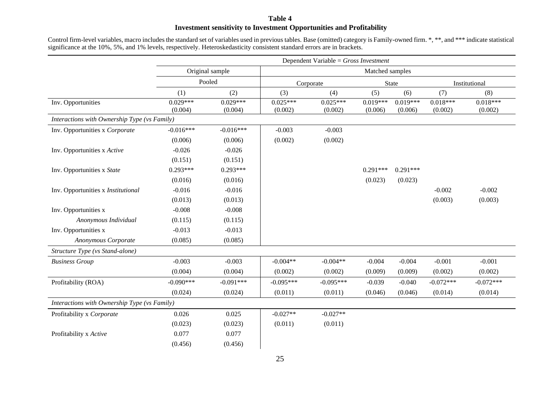#### **Table 4 Investment sensitivity to Investment Opportunities and Profitability**

Control firm-level variables, macro includes the standard set of variables used in previous tables. Base (omitted) category is Family-owned firm. \*, \*\*, and \*\*\* indicate statistical significance at the 10%, 5%, and 1% levels, respectively. Heteroskedasticity consistent standard errors are in brackets.

|                                              | Dependent Variable = $Gross$ Investment |                 |             |             |                 |              |             |               |  |  |
|----------------------------------------------|-----------------------------------------|-----------------|-------------|-------------|-----------------|--------------|-------------|---------------|--|--|
|                                              |                                         | Original sample |             |             | Matched samples |              |             |               |  |  |
|                                              |                                         | Pooled          |             | Corporate   |                 | <b>State</b> |             | Institutional |  |  |
|                                              | (1)                                     | (2)             | (3)         | (4)         | (5)             | (6)          | (7)         | (8)           |  |  |
| Inv. Opportunities                           | $0.029***$                              | $0.029***$      | $0.025***$  | $0.025***$  | $0.019***$      | $0.019***$   | $0.018***$  | $0.018***$    |  |  |
|                                              | (0.004)                                 | (0.004)         | (0.002)     | (0.002)     | (0.006)         | (0.006)      | (0.002)     | (0.002)       |  |  |
| Interactions with Ownership Type (vs Family) |                                         |                 |             |             |                 |              |             |               |  |  |
| Inv. Opportunities x Corporate               | $-0.016***$                             | $-0.016***$     | $-0.003$    | $-0.003$    |                 |              |             |               |  |  |
|                                              | (0.006)                                 | (0.006)         | (0.002)     | (0.002)     |                 |              |             |               |  |  |
| Inv. Opportunities x Active                  | $-0.026$                                | $-0.026$        |             |             |                 |              |             |               |  |  |
|                                              | (0.151)                                 | (0.151)         |             |             |                 |              |             |               |  |  |
| Inv. Opportunities x State                   | $0.293***$                              | $0.293***$      |             |             | $0.291***$      | $0.291***$   |             |               |  |  |
|                                              | (0.016)                                 | (0.016)         |             |             | (0.023)         | (0.023)      |             |               |  |  |
| Inv. Opportunities x Institutional           | $-0.016$                                | $-0.016$        |             |             |                 |              | $-0.002$    | $-0.002$      |  |  |
|                                              | (0.013)                                 | (0.013)         |             |             |                 |              | (0.003)     | (0.003)       |  |  |
| Inv. Opportunities x                         | $-0.008$                                | $-0.008$        |             |             |                 |              |             |               |  |  |
| Anonymous Individual                         | (0.115)                                 | (0.115)         |             |             |                 |              |             |               |  |  |
| Inv. Opportunities x                         | $-0.013$                                | $-0.013$        |             |             |                 |              |             |               |  |  |
| Anonymous Corporate                          | (0.085)                                 | (0.085)         |             |             |                 |              |             |               |  |  |
| Structure Type (vs Stand-alone)              |                                         |                 |             |             |                 |              |             |               |  |  |
| <b>Business Group</b>                        | $-0.003$                                | $-0.003$        | $-0.004**$  | $-0.004**$  | $-0.004$        | $-0.004$     | $-0.001$    | $-0.001$      |  |  |
|                                              | (0.004)                                 | (0.004)         | (0.002)     | (0.002)     | (0.009)         | (0.009)      | (0.002)     | (0.002)       |  |  |
| Profitability (ROA)                          | $-0.090***$                             | $-0.091***$     | $-0.095***$ | $-0.095***$ | $-0.039$        | $-0.040$     | $-0.072***$ | $-0.072***$   |  |  |
|                                              | (0.024)                                 | (0.024)         | (0.011)     | (0.011)     | (0.046)         | (0.046)      | (0.014)     | (0.014)       |  |  |
| Interactions with Ownership Type (vs Family) |                                         |                 |             |             |                 |              |             |               |  |  |
| Profitability x Corporate                    | 0.026                                   | 0.025           | $-0.027**$  | $-0.027**$  |                 |              |             |               |  |  |
|                                              | (0.023)                                 | (0.023)         | (0.011)     | (0.011)     |                 |              |             |               |  |  |
| Profitability x Active                       | 0.077                                   | 0.077           |             |             |                 |              |             |               |  |  |
|                                              | (0.456)                                 | (0.456)         |             |             |                 |              |             |               |  |  |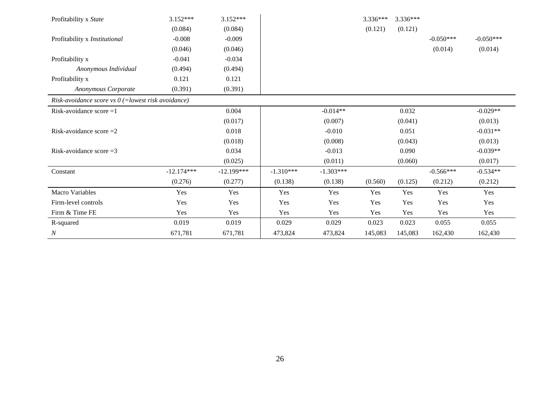| Profitability x State                                | $3.152***$   | $3.152***$   |             |             | 3.336*** | $3.336***$ |             |             |
|------------------------------------------------------|--------------|--------------|-------------|-------------|----------|------------|-------------|-------------|
|                                                      | (0.084)      | (0.084)      |             |             | (0.121)  | (0.121)    |             |             |
| Profitability x Institutional                        | $-0.008$     | $-0.009$     |             |             |          |            | $-0.050***$ | $-0.050***$ |
|                                                      | (0.046)      | (0.046)      |             |             |          |            | (0.014)     | (0.014)     |
| Profitability x                                      | $-0.041$     | $-0.034$     |             |             |          |            |             |             |
| Anonymous Individual                                 | (0.494)      | (0.494)      |             |             |          |            |             |             |
| Profitability x                                      | 0.121        | 0.121        |             |             |          |            |             |             |
| Anonymous Corporate                                  | (0.391)      | (0.391)      |             |             |          |            |             |             |
| Risk-avoidance score vs $0$ (=lowest risk avoidance) |              |              |             |             |          |            |             |             |
| Risk-avoidance score $=1$                            |              | 0.004        |             | $-0.014**$  |          | 0.032      |             | $-0.029**$  |
|                                                      |              | (0.017)      |             | (0.007)     |          | (0.041)    |             | (0.013)     |
| Risk-avoidance score $=2$                            |              | 0.018        |             | $-0.010$    |          | 0.051      |             | $-0.031**$  |
|                                                      |              | (0.018)      |             | (0.008)     |          | (0.043)    |             | (0.013)     |
| Risk-avoidance score $=3$                            |              | 0.034        |             | $-0.013$    |          | 0.090      |             | $-0.039**$  |
|                                                      |              | (0.025)      |             | (0.011)     |          | (0.060)    |             | (0.017)     |
| Constant                                             | $-12.174***$ | $-12.199***$ | $-1.310***$ | $-1.303***$ |          |            | $-0.566***$ | $-0.534**$  |
|                                                      | (0.276)      | (0.277)      | (0.138)     | (0.138)     | (0.560)  | (0.125)    | (0.212)     | (0.212)     |
| Macro Variables                                      | Yes          | Yes          | Yes         | Yes         | Yes      | Yes        | Yes         | Yes         |
| Firm-level controls                                  | Yes          | Yes          | Yes         | Yes         | Yes      | Yes        | Yes         | Yes         |
| Firm & Time FE                                       | Yes          | Yes          | Yes         | Yes         | Yes      | Yes        | Yes         | Yes         |
| R-squared                                            | 0.019        | 0.019        | 0.029       | 0.029       | 0.023    | 0.023      | 0.055       | 0.055       |
| $\cal N$                                             | 671,781      | 671,781      | 473,824     | 473,824     | 145,083  | 145,083    | 162,430     | 162,430     |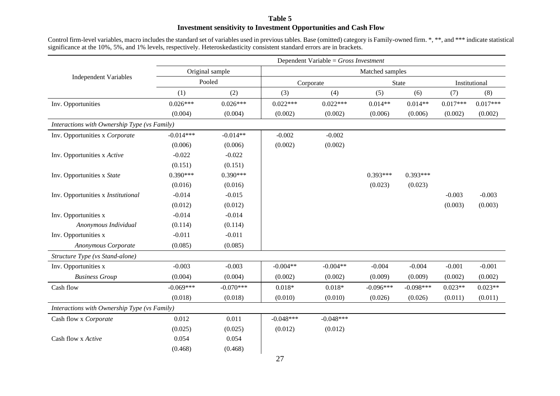#### **Table 5 Investment sensitivity to Investment Opportunities and Cash Flow**

Control firm-level variables, macro includes the standard set of variables used in previous tables. Base (omitted) category is Family-owned firm. \*, \*\*, and \*\*\* indicate statistical significance at the 10%, 5%, and 1% levels, respectively. Heteroskedasticity consistent standard errors are in brackets.

|                                              | Dependent Variable = $Gross$ Investment |                 |             |             |                 |             |               |            |  |
|----------------------------------------------|-----------------------------------------|-----------------|-------------|-------------|-----------------|-------------|---------------|------------|--|
|                                              |                                         | Original sample |             |             | Matched samples |             |               |            |  |
| <b>Independent Variables</b>                 |                                         | Pooled          |             | Corporate   |                 | State       | Institutional |            |  |
|                                              | (1)                                     | (2)             | (3)         | (4)         | (5)             | (6)         | (7)           | (8)        |  |
| Inv. Opportunities                           | $0.026***$                              | $0.026***$      | $0.022***$  | $0.022***$  | $0.014**$       | $0.014**$   | $0.017***$    | $0.017***$ |  |
|                                              | (0.004)                                 | (0.004)         | (0.002)     | (0.002)     | (0.006)         | (0.006)     | (0.002)       | (0.002)    |  |
| Interactions with Ownership Type (vs Family) |                                         |                 |             |             |                 |             |               |            |  |
| Inv. Opportunities x Corporate               | $-0.014***$                             | $-0.014**$      | $-0.002$    | $-0.002$    |                 |             |               |            |  |
|                                              | (0.006)                                 | (0.006)         | (0.002)     | (0.002)     |                 |             |               |            |  |
| Inv. Opportunities x Active                  | $-0.022$                                | $-0.022$        |             |             |                 |             |               |            |  |
|                                              | (0.151)                                 | (0.151)         |             |             |                 |             |               |            |  |
| Inv. Opportunities x State                   | $0.390***$                              | $0.390***$      |             |             | $0.393***$      | $0.393***$  |               |            |  |
|                                              | (0.016)                                 | (0.016)         |             |             | (0.023)         | (0.023)     |               |            |  |
| Inv. Opportunities x Institutional           | $-0.014$                                | $-0.015$        |             |             |                 |             | $-0.003$      | $-0.003$   |  |
|                                              | (0.012)                                 | (0.012)         |             |             |                 |             | (0.003)       | (0.003)    |  |
| Inv. Opportunities x                         | $-0.014$                                | $-0.014$        |             |             |                 |             |               |            |  |
| Anonymous Individual                         | (0.114)                                 | (0.114)         |             |             |                 |             |               |            |  |
| Inv. Opportunities x                         | $-0.011$                                | $-0.011$        |             |             |                 |             |               |            |  |
| Anonymous Corporate                          | (0.085)                                 | (0.085)         |             |             |                 |             |               |            |  |
| Structure Type (vs Stand-alone)              |                                         |                 |             |             |                 |             |               |            |  |
| Inv. Opportunities x                         | $-0.003$                                | $-0.003$        | $-0.004**$  | $-0.004**$  | $-0.004$        | $-0.004$    | $-0.001$      | $-0.001$   |  |
| <b>Business Group</b>                        | (0.004)                                 | (0.004)         | (0.002)     | (0.002)     | (0.009)         | (0.009)     | (0.002)       | (0.002)    |  |
| Cash flow                                    | $-0.069***$                             | $-0.070***$     | $0.018*$    | $0.018*$    | $-0.096***$     | $-0.098***$ | $0.023**$     | $0.023**$  |  |
|                                              | (0.018)                                 | (0.018)         | (0.010)     | (0.010)     | (0.026)         | (0.026)     | (0.011)       | (0.011)    |  |
| Interactions with Ownership Type (vs Family) |                                         |                 |             |             |                 |             |               |            |  |
| Cash flow x Corporate                        | 0.012                                   | 0.011           | $-0.048***$ | $-0.048***$ |                 |             |               |            |  |
|                                              | (0.025)                                 | (0.025)         | (0.012)     | (0.012)     |                 |             |               |            |  |
| Cash flow x Active                           | 0.054                                   | 0.054           |             |             |                 |             |               |            |  |
|                                              | (0.468)                                 | (0.468)         |             |             |                 |             |               |            |  |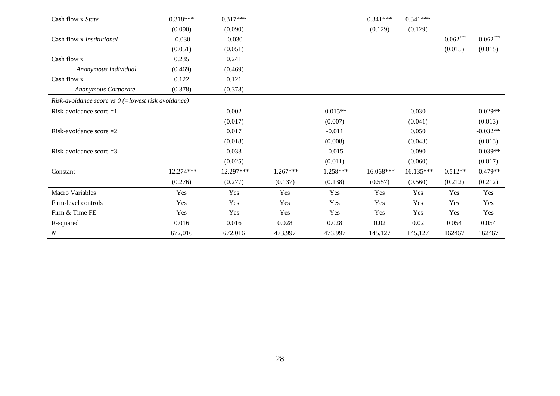| Cash flow x State                                    | $0.318***$   | $0.317***$   |             |             | $0.341***$   | $0.341***$   |             |             |
|------------------------------------------------------|--------------|--------------|-------------|-------------|--------------|--------------|-------------|-------------|
|                                                      | (0.090)      | (0.090)      |             |             | (0.129)      | (0.129)      |             |             |
| Cash flow x Institutional                            | $-0.030$     | $-0.030$     |             |             |              |              | $-0.062***$ | $-0.062***$ |
|                                                      | (0.051)      | (0.051)      |             |             |              |              | (0.015)     | (0.015)     |
| Cash flow x                                          | 0.235        | 0.241        |             |             |              |              |             |             |
| Anonymous Individual                                 | (0.469)      | (0.469)      |             |             |              |              |             |             |
| Cash flow x                                          | 0.122        | 0.121        |             |             |              |              |             |             |
| <b>Anonymous Corporate</b>                           | (0.378)      | (0.378)      |             |             |              |              |             |             |
| Risk-avoidance score vs $0$ (=lowest risk avoidance) |              |              |             |             |              |              |             |             |
| Risk-avoidance score $=1$                            |              | 0.002        |             | $-0.015**$  |              | 0.030        |             | $-0.029**$  |
|                                                      |              | (0.017)      |             | (0.007)     |              | (0.041)      |             | (0.013)     |
| Risk-avoidance score $=2$                            |              | 0.017        |             | $-0.011$    |              | 0.050        |             | $-0.032**$  |
|                                                      |              | (0.018)      |             | (0.008)     |              | (0.043)      |             | (0.013)     |
| Risk-avoidance score $=3$                            |              | 0.033        |             | $-0.015$    |              | 0.090        |             | $-0.039**$  |
|                                                      |              | (0.025)      |             | (0.011)     |              | (0.060)      |             | (0.017)     |
| Constant                                             | $-12.274***$ | $-12.297***$ | $-1.267***$ | $-1.258***$ | $-16.068***$ | $-16.135***$ | $-0.512**$  | $-0.479**$  |
|                                                      | (0.276)      | (0.277)      | (0.137)     | (0.138)     | (0.557)      | (0.560)      | (0.212)     | (0.212)     |
| <b>Macro Variables</b>                               | Yes          | Yes          | Yes         | Yes         | Yes          | Yes          | Yes         | Yes         |
| Firm-level controls                                  | Yes          | Yes          | Yes         | Yes         | Yes          | Yes          | Yes         | Yes         |
| Firm & Time FE                                       | Yes          | Yes          | Yes         | Yes         | Yes          | Yes          | Yes         | Yes         |
| R-squared                                            | 0.016        | 0.016        | 0.028       | 0.028       | 0.02         | 0.02         | 0.054       | 0.054       |
| $\boldsymbol{N}$                                     | 672,016      | 672,016      | 473,997     | 473,997     | 145,127      | 145,127      | 162467      | 162467      |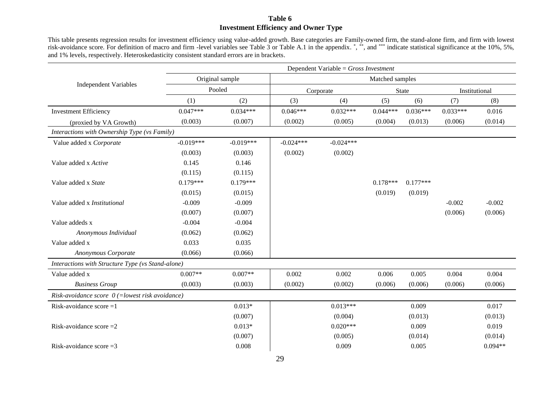### **Table 6 Investment Efficiency and Owner Type**

This table presents regression results for investment efficiency using value-added growth. Base categories are Family-owned firm, the stand-alone firm, and firm with lowest risk-avoidance score. For definition of macro and firm -level variables see Table 3 or Table A.1 in the appendix. \*,\*\*, and \*\*\* indicate statistical significance at the 10%, 5%, and 1% levels, respectively. Heteroskedasticity consistent standard errors are in brackets.

|                                                   | Dependent Variable = $Gross$ Investment |             |                 |             |            |            |               |           |
|---------------------------------------------------|-----------------------------------------|-------------|-----------------|-------------|------------|------------|---------------|-----------|
|                                                   | Original sample                         |             | Matched samples |             |            |            |               |           |
| <b>Independent Variables</b>                      | Pooled                                  |             | Corporate       |             | State      |            | Institutional |           |
|                                                   | (1)                                     | (2)         | (3)             | (4)         | (5)        | (6)        | (7)           | (8)       |
| <b>Investment Efficiency</b>                      | $0.047***$                              | $0.034***$  | $0.046***$      | $0.032***$  | $0.044***$ | $0.036***$ | $0.033***$    | 0.016     |
| (proxied by VA Growth)                            | (0.003)                                 | (0.007)     | (0.002)         | (0.005)     | (0.004)    | (0.013)    | (0.006)       | (0.014)   |
| Interactions with Ownership Type (vs Family)      |                                         |             |                 |             |            |            |               |           |
| Value added x Corporate                           | $-0.019***$                             | $-0.019***$ | $-0.024***$     | $-0.024***$ |            |            |               |           |
|                                                   | (0.003)                                 | (0.003)     | (0.002)         | (0.002)     |            |            |               |           |
| Value added x Active                              | 0.145                                   | 0.146       |                 |             |            |            |               |           |
|                                                   | (0.115)                                 | (0.115)     |                 |             |            |            |               |           |
| Value added x State                               | $0.179***$                              | $0.179***$  |                 |             | $0.178***$ | $0.177***$ |               |           |
|                                                   | (0.015)                                 | (0.015)     |                 |             | (0.019)    | (0.019)    |               |           |
| Value added x Institutional                       | $-0.009$                                | $-0.009$    |                 |             |            |            | $-0.002$      | $-0.002$  |
|                                                   | (0.007)                                 | (0.007)     |                 |             |            |            | (0.006)       | (0.006)   |
| Value addeds x                                    | $-0.004$                                | $-0.004$    |                 |             |            |            |               |           |
| Anonymous Individual                              | (0.062)                                 | (0.062)     |                 |             |            |            |               |           |
| Value added x                                     | 0.033                                   | 0.035       |                 |             |            |            |               |           |
| Anonymous Corporate                               | (0.066)                                 | (0.066)     |                 |             |            |            |               |           |
| Interactions with Structure Type (vs Stand-alone) |                                         |             |                 |             |            |            |               |           |
| Value added x                                     | $0.007**$                               | $0.007**$   | 0.002           | 0.002       | 0.006      | 0.005      | 0.004         | 0.004     |
| <b>Business Group</b>                             | (0.003)                                 | (0.003)     | (0.002)         | (0.002)     | (0.006)    | (0.006)    | (0.006)       | (0.006)   |
| Risk-avoidance score $0$ (=lowest risk avoidance) |                                         |             |                 |             |            |            |               |           |
| Risk-avoidance score $=1$                         |                                         | $0.013*$    |                 | $0.013***$  |            | 0.009      |               | 0.017     |
|                                                   |                                         | (0.007)     |                 | (0.004)     |            | (0.013)    |               | (0.013)   |
| Risk-avoidance score $=2$                         |                                         | $0.013*$    |                 | $0.020***$  |            | 0.009      |               | 0.019     |
|                                                   |                                         | (0.007)     |                 | (0.005)     |            | (0.014)    |               | (0.014)   |
| Risk-avoidance score $=3$                         |                                         | 0.008       |                 | 0.009       |            | 0.005      |               | $0.094**$ |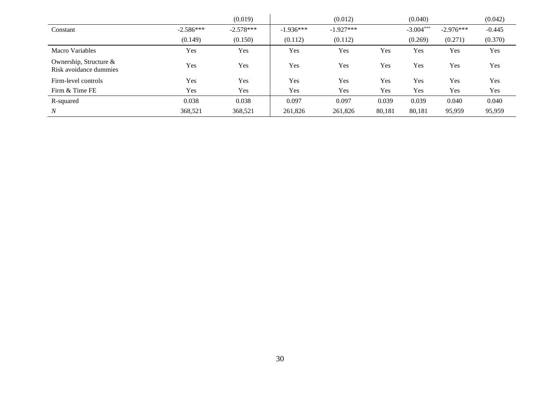|                                                  |             | (0.019)     |             | (0.012)     |        | (0.040)     |             | (0.042)  |
|--------------------------------------------------|-------------|-------------|-------------|-------------|--------|-------------|-------------|----------|
| Constant                                         | $-2.586***$ | $-2.578***$ | $-1.936***$ | $-1.927***$ |        | $-3.004***$ | $-2.976***$ | $-0.445$ |
|                                                  | (0.149)     | (0.150)     | (0.112)     | (0.112)     |        | (0.269)     | (0.271)     | (0.370)  |
| Macro Variables                                  | Yes         | Yes         | Yes.        | Yes         | Yes    | Yes         | <b>Yes</b>  | Yes      |
| Ownership, Structure &<br>Risk avoidance dummies | Yes         | Yes         | Yes         | Yes         | Yes    | Yes         | Yes         | Yes      |
| Firm-level controls                              | Yes         | Yes         | Yes         | Yes         | Yes    | Yes         | Yes         | Yes      |
| Firm & Time FE                                   | Yes         | Yes         | Yes         | Yes         | Yes    | Yes         | Yes         | Yes      |
| R-squared                                        | 0.038       | 0.038       | 0.097       | 0.097       | 0.039  | 0.039       | 0.040       | 0.040    |
| $\boldsymbol{N}$                                 | 368,521     | 368,521     | 261,826     | 261,826     | 80,181 | 80,181      | 95,959      | 95,959   |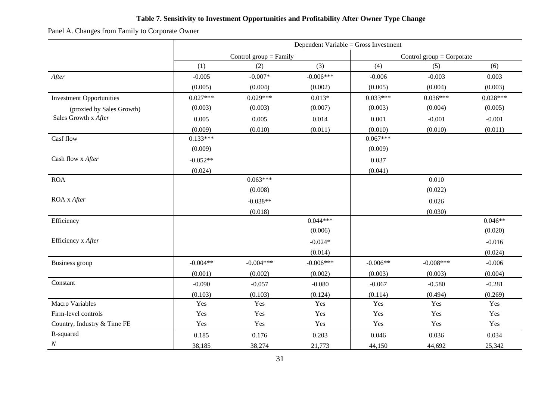### **Table 7. Sensitivity to Investment Opportunities and Profitability After Owner Type Change**

Panel A. Changes from Family to Corporate Owner

|                                 | Dependent Variable = Gross Investment |             |             |                             |             |            |  |
|---------------------------------|---------------------------------------|-------------|-------------|-----------------------------|-------------|------------|--|
|                                 | Control group $=$ Family              |             |             | Control group $=$ Corporate |             |            |  |
|                                 | (1)                                   | (2)         | (3)         | (4)                         | (5)         | (6)        |  |
| After                           | $-0.005$                              | $-0.007*$   | $-0.006***$ | $-0.006$                    | $-0.003$    | 0.003      |  |
|                                 | (0.005)                               | (0.004)     | (0.002)     | (0.005)                     | (0.004)     | (0.003)    |  |
| <b>Investment Opportunities</b> | $0.027***$                            | $0.029***$  | $0.013*$    | $0.033***$                  | $0.036***$  | $0.028***$ |  |
| (proxied by Sales Growth)       | (0.003)                               | (0.003)     | (0.007)     | (0.003)                     | (0.004)     | (0.005)    |  |
| Sales Growth x After            | 0.005                                 | 0.005       | 0.014       | 0.001                       | $-0.001$    | $-0.001$   |  |
|                                 | (0.009)                               | (0.010)     | (0.011)     | (0.010)                     | (0.010)     | (0.011)    |  |
| Casf flow                       | $0.133***$                            |             |             | $0.067***$                  |             |            |  |
|                                 | (0.009)                               |             |             | (0.009)                     |             |            |  |
| Cash flow x After               | $-0.052**$                            |             |             | 0.037                       |             |            |  |
|                                 | (0.024)                               |             |             | (0.041)                     |             |            |  |
| <b>ROA</b>                      |                                       | $0.063***$  |             |                             | 0.010       |            |  |
|                                 |                                       | (0.008)     |             |                             | (0.022)     |            |  |
| ROA x After                     |                                       | $-0.038**$  |             |                             | 0.026       |            |  |
|                                 |                                       | (0.018)     |             |                             | (0.030)     |            |  |
| Efficiency                      |                                       |             | $0.044***$  |                             |             | $0.046**$  |  |
|                                 |                                       |             | (0.006)     |                             |             | (0.020)    |  |
| Efficiency x After              |                                       |             | $-0.024*$   |                             |             | $-0.016$   |  |
|                                 |                                       |             | (0.014)     |                             |             | (0.024)    |  |
| Business group                  | $-0.004**$                            | $-0.004***$ | $-0.006***$ | $-0.006**$                  | $-0.008***$ | $-0.006$   |  |
|                                 | (0.001)                               | (0.002)     | (0.002)     | (0.003)                     | (0.003)     | (0.004)    |  |
| Constant                        | $-0.090$                              | $-0.057$    | $-0.080$    | $-0.067$                    | $-0.580$    | $-0.281$   |  |
|                                 | (0.103)                               | (0.103)     | (0.124)     | (0.114)                     | (0.494)     | (0.269)    |  |
| <b>Macro Variables</b>          | Yes                                   | Yes         | Yes         | Yes                         | Yes         | Yes        |  |
| Firm-level controls             | Yes                                   | Yes         | Yes         | Yes                         | Yes         | Yes        |  |
| Country, Industry & Time FE     | Yes                                   | Yes         | Yes         | Yes                         | Yes         | Yes        |  |
| R-squared                       | 0.185                                 | 0.176       | 0.203       | 0.046                       | 0.036       | 0.034      |  |
| $\cal N$                        | 38,185                                | 38,274      | 21,773      | 44,150                      | 44,692      | 25,342     |  |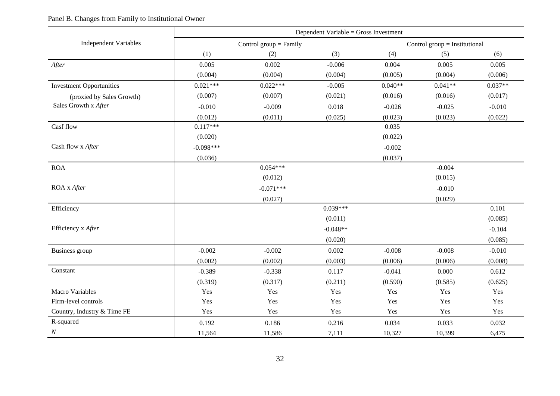### Panel B. Changes from Family to Institutional Owner

|                                 | Dependent Variable = Gross Investment |                          |                                 |           |           |           |  |  |
|---------------------------------|---------------------------------------|--------------------------|---------------------------------|-----------|-----------|-----------|--|--|
| <b>Independent Variables</b>    |                                       | Control group $=$ Family | Control group $=$ Institutional |           |           |           |  |  |
|                                 | (1)                                   | (2)                      | (3)                             | (4)       | (5)       | (6)       |  |  |
| After                           | 0.005                                 | 0.002                    | $-0.006$                        | 0.004     | 0.005     | 0.005     |  |  |
|                                 | (0.004)                               | (0.004)                  | (0.004)                         | (0.005)   | (0.004)   | (0.006)   |  |  |
| <b>Investment Opportunities</b> | $0.021***$                            | $0.022***$               | $-0.005$                        | $0.040**$ | $0.041**$ | $0.037**$ |  |  |
| (proxied by Sales Growth)       | (0.007)                               | (0.007)                  | (0.021)                         | (0.016)   | (0.016)   | (0.017)   |  |  |
| Sales Growth x After            | $-0.010$                              | $-0.009$                 | 0.018                           | $-0.026$  | $-0.025$  | $-0.010$  |  |  |
|                                 | (0.012)                               | (0.011)                  | (0.025)                         | (0.023)   | (0.023)   | (0.022)   |  |  |
| Casf flow                       | $0.117***$                            |                          |                                 | 0.035     |           |           |  |  |
|                                 | (0.020)                               |                          |                                 | (0.022)   |           |           |  |  |
| Cash flow x After               | $-0.098***$                           |                          |                                 | $-0.002$  |           |           |  |  |
|                                 | (0.036)                               |                          |                                 | (0.037)   |           |           |  |  |
| <b>ROA</b>                      |                                       | $0.054***$               |                                 |           | $-0.004$  |           |  |  |
|                                 |                                       | (0.012)                  |                                 |           | (0.015)   |           |  |  |
| ROA x After                     |                                       | $-0.071***$              |                                 |           | $-0.010$  |           |  |  |
|                                 |                                       | (0.027)                  |                                 |           | (0.029)   |           |  |  |
| Efficiency                      |                                       |                          | $0.039***$                      |           |           | 0.101     |  |  |
|                                 |                                       |                          | (0.011)                         |           |           | (0.085)   |  |  |
| Efficiency x After              |                                       |                          | $-0.048**$                      |           |           | $-0.104$  |  |  |
|                                 |                                       |                          | (0.020)                         |           |           | (0.085)   |  |  |
| Business group                  | $-0.002$                              | $-0.002$                 | 0.002                           | $-0.008$  | $-0.008$  | $-0.010$  |  |  |
|                                 | (0.002)                               | (0.002)                  | (0.003)                         | (0.006)   | (0.006)   | (0.008)   |  |  |
| Constant                        | $-0.389$                              | $-0.338$                 | 0.117                           | $-0.041$  | 0.000     | 0.612     |  |  |
|                                 | (0.319)                               | (0.317)                  | (0.211)                         | (0.590)   | (0.585)   | (0.625)   |  |  |
| <b>Macro Variables</b>          | Yes                                   | Yes                      | Yes                             | Yes       | Yes       | Yes       |  |  |
| Firm-level controls             | Yes                                   | Yes                      | Yes                             | Yes       | Yes       | Yes       |  |  |
| Country, Industry & Time FE     | Yes                                   | Yes                      | Yes                             | Yes       | Yes       | Yes       |  |  |
| R-squared                       | 0.192                                 | 0.186                    | 0.216                           | 0.034     | 0.033     | 0.032     |  |  |
| $\cal N$                        | 11,564                                | 11,586                   | 7,111                           | 10,327    | 10,399    | 6,475     |  |  |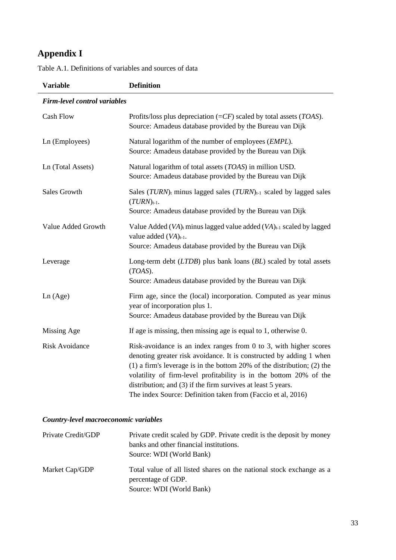# **Appendix I**

| <b>Variable</b>                     | <b>Definition</b>                                                                                                                                                                                                                                                                                                                                                                                                                |
|-------------------------------------|----------------------------------------------------------------------------------------------------------------------------------------------------------------------------------------------------------------------------------------------------------------------------------------------------------------------------------------------------------------------------------------------------------------------------------|
| <b>Firm-level control variables</b> |                                                                                                                                                                                                                                                                                                                                                                                                                                  |
| <b>Cash Flow</b>                    | Profits/loss plus depreciation $(=CF)$ scaled by total assets ( <i>TOAS</i> ).<br>Source: Amadeus database provided by the Bureau van Dijk                                                                                                                                                                                                                                                                                       |
| Ln (Employees)                      | Natural logarithm of the number of employees (EMPL).<br>Source: Amadeus database provided by the Bureau van Dijk                                                                                                                                                                                                                                                                                                                 |
| Ln (Total Assets)                   | Natural logarithm of total assets (TOAS) in million USD.<br>Source: Amadeus database provided by the Bureau van Dijk                                                                                                                                                                                                                                                                                                             |
| <b>Sales Growth</b>                 | Sales $(TURN)$ <sub>t</sub> minus lagged sales $(TURN)$ <sub>t-1</sub> scaled by lagged sales<br>$(TURN)_{t-1}.$<br>Source: Amadeus database provided by the Bureau van Dijk                                                                                                                                                                                                                                                     |
| Value Added Growth                  | Value Added $(VA)$ <sub>t</sub> minus lagged value added $(VA)$ <sub>t-1</sub> scaled by lagged<br>value added $(VA)_{t-1}$ .<br>Source: Amadeus database provided by the Bureau van Dijk                                                                                                                                                                                                                                        |
| Leverage                            | Long-term debt (LTDB) plus bank loans (BL) scaled by total assets<br>$(TOAS)$ .<br>Source: Amadeus database provided by the Bureau van Dijk                                                                                                                                                                                                                                                                                      |
| Ln(Age)                             | Firm age, since the (local) incorporation. Computed as year minus<br>year of incorporation plus 1.<br>Source: Amadeus database provided by the Bureau van Dijk                                                                                                                                                                                                                                                                   |
| Missing Age                         | If age is missing, then missing age is equal to $1$ , otherwise $0$ .                                                                                                                                                                                                                                                                                                                                                            |
| <b>Risk Avoidance</b>               | Risk-avoidance is an index ranges from $0$ to $3$ , with higher scores<br>denoting greater risk avoidance. It is constructed by adding 1 when<br>$(1)$ a firm's leverage is in the bottom 20% of the distribution; (2) the<br>volatility of firm-level profitability is in the bottom 20% of the<br>distribution; and (3) if the firm survives at least 5 years.<br>The index Source: Definition taken from (Faccio et al, 2016) |

Table A.1. Definitions of variables and sources of data

## *Country-level macroeconomic variables*

| Private Credit/GDP | Private credit scaled by GDP. Private credit is the deposit by money<br>banks and other financial institutions.<br>Source: WDI (World Bank) |
|--------------------|---------------------------------------------------------------------------------------------------------------------------------------------|
| Market Cap/GDP     | Total value of all listed shares on the national stock exchange as a<br>percentage of GDP.<br>Source: WDI (World Bank)                      |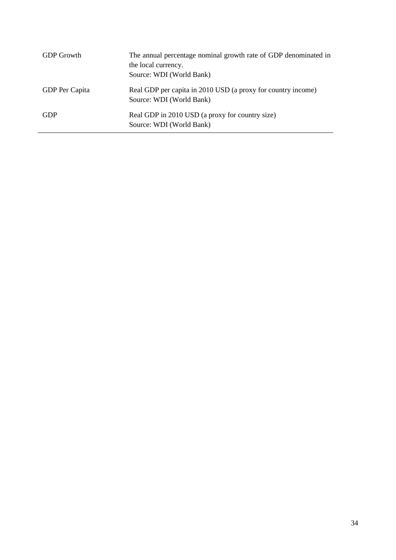| <b>GDP</b> Growth | The annual percentage nominal growth rate of GDP denominated in<br>the local currency.<br>Source: WDI (World Bank) |
|-------------------|--------------------------------------------------------------------------------------------------------------------|
| GDP Per Capita    | Real GDP per capita in 2010 USD (a proxy for country income)<br>Source: WDI (World Bank)                           |
| <b>GDP</b>        | Real GDP in 2010 USD (a proxy for country size)<br>Source: WDI (World Bank)                                        |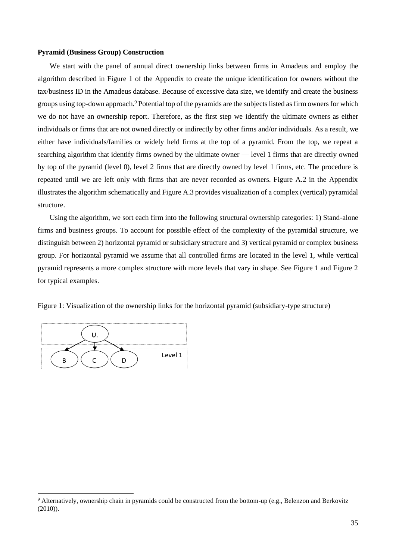#### **Pyramid (Business Group) Construction**

We start with the panel of annual direct ownership links between firms in Amadeus and employ the algorithm described in Figure 1 of the Appendix to create the unique identification for owners without the tax/business ID in the Amadeus database. Because of excessive data size, we identify and create the business groups using top-down approach.<sup>9</sup> Potential top of the pyramids are the subjects listed as firm owners for which we do not have an ownership report. Therefore, as the first step we identify the ultimate owners as either individuals or firms that are not owned directly or indirectly by other firms and/or individuals. As a result, we either have individuals/families or widely held firms at the top of a pyramid. From the top, we repeat a searching algorithm that identify firms owned by the ultimate owner — level 1 firms that are directly owned by top of the pyramid (level 0), level 2 firms that are directly owned by level 1 firms, etc. The procedure is repeated until we are left only with firms that are never recorded as owners. Figure A.2 in the Appendix illustrates the algorithm schematically and Figure A.3 provides visualization of a complex (vertical) pyramidal structure.

Using the algorithm, we sort each firm into the following structural ownership categories: 1) Stand-alone firms and business groups. To account for possible effect of the complexity of the pyramidal structure, we distinguish between 2) horizontal pyramid or subsidiary structure and 3) vertical pyramid or complex business group. For horizontal pyramid we assume that all controlled firms are located in the level 1, while vertical pyramid represents a more complex structure with more levels that vary in shape. See Figure 1 and Figure 2 for typical examples.

Figure 1: Visualization of the ownership links for the horizontal pyramid (subsidiary-type structure)



<sup>&</sup>lt;sup>9</sup> Alternatively, ownership chain in pyramids could be constructed from the bottom-up (e.g., Belenzon and Berkovitz (2010)).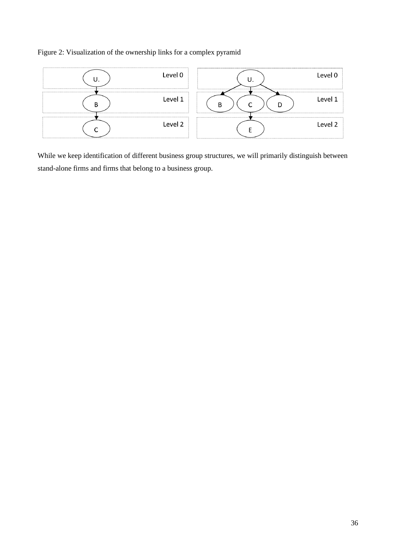### Figure 2: Visualization of the ownership links for a complex pyramid



While we keep identification of different business group structures, we will primarily distinguish between stand-alone firms and firms that belong to a business group.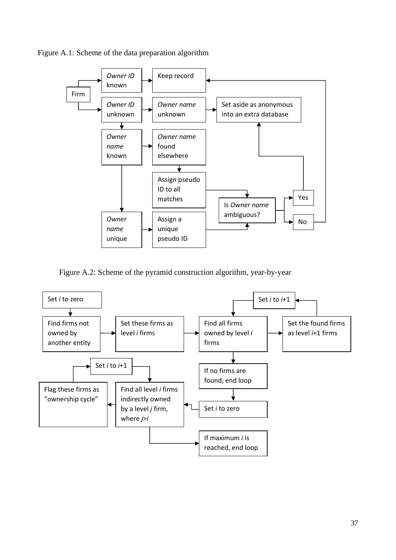



Figure A.2: Scheme of the pyramid construction algorithm, year-by-year